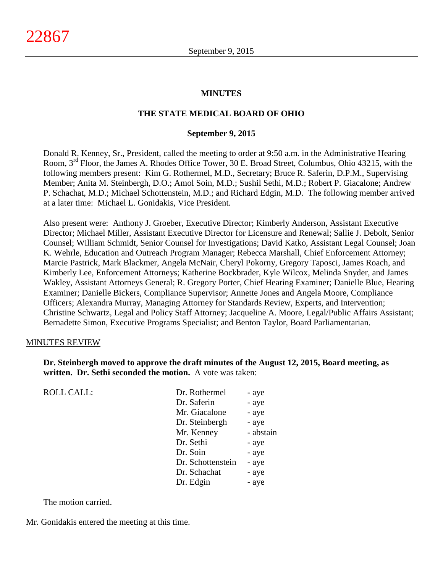#### **MINUTES**

#### **THE STATE MEDICAL BOARD OF OHIO**

#### **September 9, 2015**

Donald R. Kenney, Sr., President, called the meeting to order at 9:50 a.m. in the Administrative Hearing Room, 3rd Floor, the James A. Rhodes Office Tower, 30 E. Broad Street, Columbus, Ohio 43215, with the following members present: Kim G. Rothermel, M.D., Secretary; Bruce R. Saferin, D.P.M., Supervising Member; Anita M. Steinbergh, D.O.; Amol Soin, M.D.; Sushil Sethi, M.D.; Robert P. Giacalone; Andrew P. Schachat, M.D.; Michael Schottenstein, M.D.; and Richard Edgin, M.D. The following member arrived at a later time: Michael L. Gonidakis, Vice President.

Also present were: Anthony J. Groeber, Executive Director; Kimberly Anderson, Assistant Executive Director; Michael Miller, Assistant Executive Director for Licensure and Renewal; Sallie J. Debolt, Senior Counsel; William Schmidt, Senior Counsel for Investigations; David Katko, Assistant Legal Counsel; Joan K. Wehrle, Education and Outreach Program Manager; Rebecca Marshall, Chief Enforcement Attorney; Marcie Pastrick, Mark Blackmer, Angela McNair, Cheryl Pokorny, Gregory Taposci, James Roach, and Kimberly Lee, Enforcement Attorneys; Katherine Bockbrader, Kyle Wilcox, Melinda Snyder, and James Wakley, Assistant Attorneys General; R. Gregory Porter, Chief Hearing Examiner; Danielle Blue, Hearing Examiner; Danielle Bickers, Compliance Supervisor; Annette Jones and Angela Moore, Compliance Officers; Alexandra Murray, Managing Attorney for Standards Review, Experts, and Intervention; Christine Schwartz, Legal and Policy Staff Attorney; Jacqueline A. Moore, Legal/Public Affairs Assistant; Bernadette Simon, Executive Programs Specialist; and Benton Taylor, Board Parliamentarian.

#### MINUTES REVIEW

ROLL CALL:

**Dr. Steinbergh moved to approve the draft minutes of the August 12, 2015, Board meeting, as written. Dr. Sethi seconded the motion.** A vote was taken:

| Dr. Rothermel     | - aye     |
|-------------------|-----------|
| Dr. Saferin       | - aye     |
| Mr. Giacalone     | - aye     |
| Dr. Steinbergh    | - aye     |
| Mr. Kenney        | - abstain |
| Dr. Sethi         | - aye     |
| Dr. Soin          | - aye     |
| Dr. Schottenstein | - aye     |
| Dr. Schachat      | - aye     |
| Dr. Edgin         | - aye     |
|                   |           |

The motion carried.

Mr. Gonidakis entered the meeting at this time.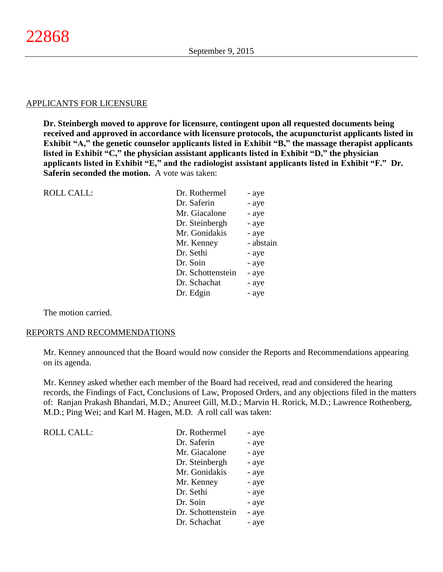### APPLICANTS FOR LICENSURE

**Dr. Steinbergh moved to approve for licensure, contingent upon all requested documents being received and approved in accordance with licensure protocols, the acupuncturist applicants listed in Exhibit "A," the genetic counselor applicants listed in Exhibit "B," the massage therapist applicants listed in Exhibit "C," the physician assistant applicants listed in Exhibit "D," the physician applicants listed in Exhibit "E," and the radiologist assistant applicants listed in Exhibit "F." Dr. Saferin seconded the motion.** A vote was taken:

| <b>ROLL CALL:</b> | Dr. Rothermel     | - aye     |
|-------------------|-------------------|-----------|
|                   | Dr. Saferin       | - aye     |
|                   | Mr. Giacalone     | - aye     |
|                   | Dr. Steinbergh    | - aye     |
|                   | Mr. Gonidakis     | - aye     |
|                   | Mr. Kenney        | - abstain |
|                   | Dr. Sethi         | - aye     |
|                   | Dr. Soin          | - aye     |
|                   | Dr. Schottenstein | - aye     |
|                   | Dr. Schachat      | - aye     |
|                   | Dr. Edgin         | - aye     |
|                   |                   |           |

The motion carried.

#### REPORTS AND RECOMMENDATIONS

Mr. Kenney announced that the Board would now consider the Reports and Recommendations appearing on its agenda.

Mr. Kenney asked whether each member of the Board had received, read and considered the hearing records, the Findings of Fact, Conclusions of Law, Proposed Orders, and any objections filed in the matters of: Ranjan Prakash Bhandari, M.D.; Anureet Gill, M.D.; Marvin H. Rorick, M.D.; Lawrence Rothenberg, M.D.; Ping Wei; and Karl M. Hagen, M.D. A roll call was taken:

| <b>ROLL CALL:</b> | Dr. Rothermel     | - aye |
|-------------------|-------------------|-------|
|                   | Dr. Saferin       | - aye |
|                   | Mr. Giacalone     | - aye |
|                   | Dr. Steinbergh    | - aye |
|                   | Mr. Gonidakis     | - aye |
|                   | Mr. Kenney        | - aye |
|                   | Dr. Sethi         | - aye |
|                   | Dr. Soin          | - aye |
|                   | Dr. Schottenstein | - aye |
|                   | Dr. Schachat      | - aye |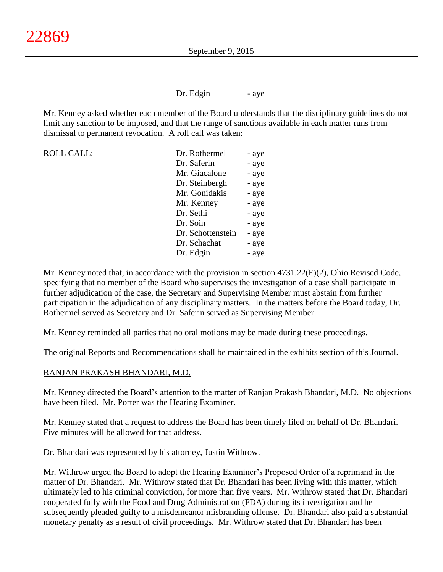Dr. Edgin - aye

Mr. Kenney asked whether each member of the Board understands that the disciplinary guidelines do not limit any sanction to be imposed, and that the range of sanctions available in each matter runs from dismissal to permanent revocation. A roll call was taken:

| <b>ROLL CALL:</b> | Dr. Rothermel     | - aye |
|-------------------|-------------------|-------|
|                   | Dr. Saferin       | - aye |
|                   | Mr. Giacalone     | - aye |
|                   | Dr. Steinbergh    | - aye |
|                   | Mr. Gonidakis     | - aye |
|                   | Mr. Kenney        | - aye |
|                   | Dr. Sethi         | - aye |
|                   | Dr. Soin          | - aye |
|                   | Dr. Schottenstein | - aye |
|                   | Dr. Schachat      | - aye |
|                   | Dr. Edgin         | - aye |

Mr. Kenney noted that, in accordance with the provision in section 4731.22(F)(2), Ohio Revised Code, specifying that no member of the Board who supervises the investigation of a case shall participate in further adjudication of the case, the Secretary and Supervising Member must abstain from further participation in the adjudication of any disciplinary matters. In the matters before the Board today, Dr. Rothermel served as Secretary and Dr. Saferin served as Supervising Member.

Mr. Kenney reminded all parties that no oral motions may be made during these proceedings.

The original Reports and Recommendations shall be maintained in the exhibits section of this Journal.

### RANJAN PRAKASH BHANDARI, M.D.

Mr. Kenney directed the Board's attention to the matter of Ranjan Prakash Bhandari, M.D. No objections have been filed. Mr. Porter was the Hearing Examiner.

Mr. Kenney stated that a request to address the Board has been timely filed on behalf of Dr. Bhandari. Five minutes will be allowed for that address.

Dr. Bhandari was represented by his attorney, Justin Withrow.

Mr. Withrow urged the Board to adopt the Hearing Examiner's Proposed Order of a reprimand in the matter of Dr. Bhandari. Mr. Withrow stated that Dr. Bhandari has been living with this matter, which ultimately led to his criminal conviction, for more than five years. Mr. Withrow stated that Dr. Bhandari cooperated fully with the Food and Drug Administration (FDA) during its investigation and he subsequently pleaded guilty to a misdemeanor misbranding offense. Dr. Bhandari also paid a substantial monetary penalty as a result of civil proceedings. Mr. Withrow stated that Dr. Bhandari has been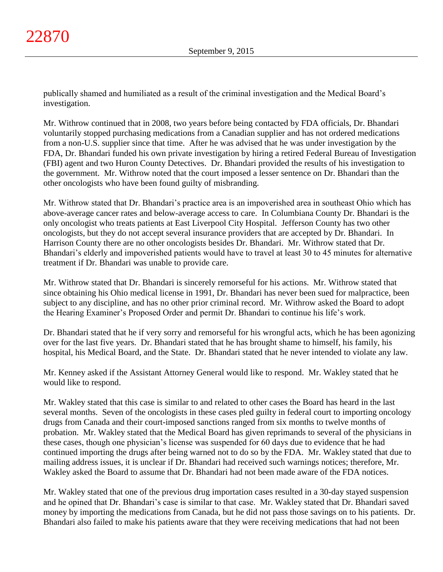publically shamed and humiliated as a result of the criminal investigation and the Medical Board's investigation.

Mr. Withrow continued that in 2008, two years before being contacted by FDA officials, Dr. Bhandari voluntarily stopped purchasing medications from a Canadian supplier and has not ordered medications from a non-U.S. supplier since that time. After he was advised that he was under investigation by the FDA, Dr. Bhandari funded his own private investigation by hiring a retired Federal Bureau of Investigation (FBI) agent and two Huron County Detectives. Dr. Bhandari provided the results of his investigation to the government. Mr. Withrow noted that the court imposed a lesser sentence on Dr. Bhandari than the other oncologists who have been found guilty of misbranding.

Mr. Withrow stated that Dr. Bhandari's practice area is an impoverished area in southeast Ohio which has above-average cancer rates and below-average access to care. In Columbiana County Dr. Bhandari is the only oncologist who treats patients at East Liverpool City Hospital. Jefferson County has two other oncologists, but they do not accept several insurance providers that are accepted by Dr. Bhandari. In Harrison County there are no other oncologists besides Dr. Bhandari. Mr. Withrow stated that Dr. Bhandari's elderly and impoverished patients would have to travel at least 30 to 45 minutes for alternative treatment if Dr. Bhandari was unable to provide care.

Mr. Withrow stated that Dr. Bhandari is sincerely remorseful for his actions. Mr. Withrow stated that since obtaining his Ohio medical license in 1991, Dr. Bhandari has never been sued for malpractice, been subject to any discipline, and has no other prior criminal record. Mr. Withrow asked the Board to adopt the Hearing Examiner's Proposed Order and permit Dr. Bhandari to continue his life's work.

Dr. Bhandari stated that he if very sorry and remorseful for his wrongful acts, which he has been agonizing over for the last five years. Dr. Bhandari stated that he has brought shame to himself, his family, his hospital, his Medical Board, and the State. Dr. Bhandari stated that he never intended to violate any law.

Mr. Kenney asked if the Assistant Attorney General would like to respond. Mr. Wakley stated that he would like to respond.

Mr. Wakley stated that this case is similar to and related to other cases the Board has heard in the last several months. Seven of the oncologists in these cases pled guilty in federal court to importing oncology drugs from Canada and their court-imposed sanctions ranged from six months to twelve months of probation. Mr. Wakley stated that the Medical Board has given reprimands to several of the physicians in these cases, though one physician's license was suspended for 60 days due to evidence that he had continued importing the drugs after being warned not to do so by the FDA. Mr. Wakley stated that due to mailing address issues, it is unclear if Dr. Bhandari had received such warnings notices; therefore, Mr. Wakley asked the Board to assume that Dr. Bhandari had not been made aware of the FDA notices.

Mr. Wakley stated that one of the previous drug importation cases resulted in a 30-day stayed suspension and he opined that Dr. Bhandari's case is similar to that case. Mr. Wakley stated that Dr. Bhandari saved money by importing the medications from Canada, but he did not pass those savings on to his patients. Dr. Bhandari also failed to make his patients aware that they were receiving medications that had not been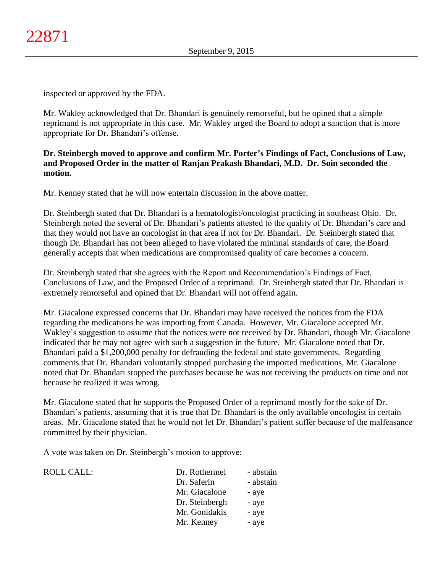inspected or approved by the FDA.

Mr. Wakley acknowledged that Dr. Bhandari is genuinely remorseful, but he opined that a simple reprimand is not appropriate in this case. Mr. Wakley urged the Board to adopt a sanction that is more appropriate for Dr. Bhandari's offense.

## **Dr. Steinbergh moved to approve and confirm Mr. Porter's Findings of Fact, Conclusions of Law, and Proposed Order in the matter of Ranjan Prakash Bhandari, M.D. Dr. Soin seconded the motion.**

Mr. Kenney stated that he will now entertain discussion in the above matter.

Dr. Steinbergh stated that Dr. Bhandari is a hematologist/oncologist practicing in southeast Ohio. Dr. Steinbergh noted the several of Dr. Bhandari's patients attested to the quality of Dr. Bhandari's care and that they would not have an oncologist in that area if not for Dr. Bhandari. Dr. Steinbergh stated that though Dr. Bhandari has not been alleged to have violated the minimal standards of care, the Board generally accepts that when medications are compromised quality of care becomes a concern.

Dr. Steinbergh stated that she agrees with the Report and Recommendation's Findings of Fact, Conclusions of Law, and the Proposed Order of a reprimand. Dr. Steinbergh stated that Dr. Bhandari is extremely remorseful and opined that Dr. Bhandari will not offend again.

Mr. Giacalone expressed concerns that Dr. Bhandari may have received the notices from the FDA regarding the medications he was importing from Canada. However, Mr. Giacalone accepted Mr. Wakley's suggestion to assume that the notices were not received by Dr. Bhandari, though Mr. Giacalone indicated that he may not agree with such a suggestion in the future. Mr. Giacalone noted that Dr. Bhandari paid a \$1,200,000 penalty for defrauding the federal and state governments. Regarding comments that Dr. Bhandari voluntarily stopped purchasing the imported medications, Mr. Giacalone noted that Dr. Bhandari stopped the purchases because he was not receiving the products on time and not because he realized it was wrong.

Mr. Giacalone stated that he supports the Proposed Order of a reprimand mostly for the sake of Dr. Bhandari's patients, assuming that it is true that Dr. Bhandari is the only available oncologist in certain areas. Mr. Giacalone stated that he would not let Dr. Bhandari's patient suffer because of the malfeasance committed by their physician.

A vote was taken on Dr. Steinbergh's motion to approve:

| <b>ROLL CALL:</b> | Dr. Rothermel  | - abstain |
|-------------------|----------------|-----------|
|                   | Dr. Saferin    | - abstain |
|                   | Mr. Giacalone  | - aye     |
|                   | Dr. Steinbergh | - aye     |
|                   | Mr. Gonidakis  | - aye     |
|                   | Mr. Kenney     | - aye     |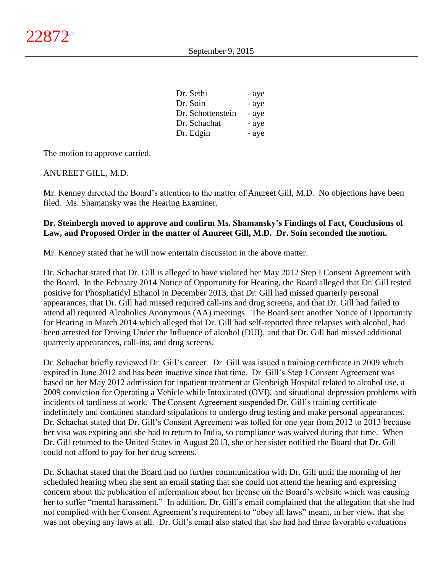| Dr. Sethi         | - aye |
|-------------------|-------|
| Dr. Soin          | - aye |
| Dr. Schottenstein | - aye |
| Dr. Schachat      | - aye |
| Dr. Edgin         | - aye |

The motion to approve carried.

### ANUREET GILL, M.D.

Mr. Kenney directed the Board's attention to the matter of Anureet Gill, M.D. No objections have been filed. Ms. Shamansky was the Hearing Examiner.

## **Dr. Steinbergh moved to approve and confirm Ms. Shamansky's Findings of Fact, Conclusions of Law, and Proposed Order in the matter of Anureet Gill, M.D. Dr. Soin seconded the motion.**

Mr. Kenney stated that he will now entertain discussion in the above matter.

Dr. Schachat stated that Dr. Gill is alleged to have violated her May 2012 Step I Consent Agreement with the Board. In the February 2014 Notice of Opportunity for Hearing, the Board alleged that Dr. Gill tested positive for Phosphatidyl Ethanol in December 2013, that Dr. Gill had missed quarterly personal appearances, that Dr. Gill had missed required call-ins and drug screens, and that Dr. Gill had failed to attend all required Alcoholics Anonymous (AA) meetings. The Board sent another Notice of Opportunity for Hearing in March 2014 which alleged that Dr. Gill had self-reported three relapses with alcohol, had been arrested for Driving Under the Influence of alcohol (DUI), and that Dr. Gill had missed additional quarterly appearances, call-ins, and drug screens.

Dr. Schachat briefly reviewed Dr. Gill's career. Dr. Gill was issued a training certificate in 2009 which expired in June 2012 and has been inactive since that time. Dr. Gill's Step I Consent Agreement was based on her May 2012 admission for inpatient treatment at Glenbeigh Hospital related to alcohol use, a 2009 conviction for Operating a Vehicle while Intoxicated (OVI), and situational depression problems with incidents of tardiness at work. The Consent Agreement suspended Dr. Gill's training certificate indefinitely and contained standard stipulations to undergo drug testing and make personal appearances. Dr. Schachat stated that Dr. Gill's Consent Agreement was tolled for one year from 2012 to 2013 because her visa was expiring and she had to return to India, so compliance was waived during that time. When Dr. Gill returned to the United States in August 2013, she or her sister notified the Board that Dr. Gill could not afford to pay for her drug screens.

Dr. Schachat stated that the Board had no further communication with Dr. Gill until the morning of her scheduled hearing when she sent an email stating that she could not attend the hearing and expressing concern about the publication of information about her license on the Board's website which was causing her to suffer "mental harassment." In addition, Dr. Gill's email complained that the allegation that she had not complied with her Consent Agreement's requirement to "obey all laws" meant, in her view, that she was not obeying any laws at all. Dr. Gill's email also stated that she had had three favorable evaluations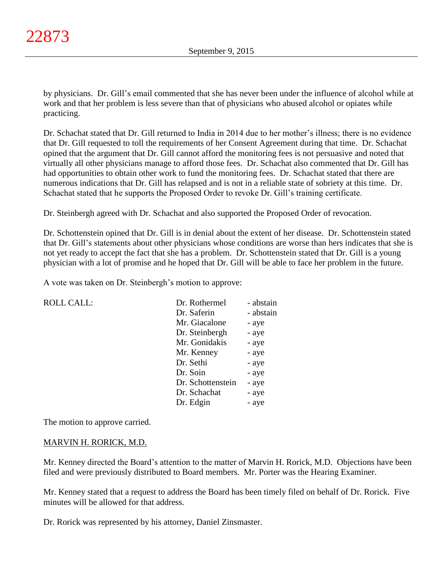by physicians. Dr. Gill's email commented that she has never been under the influence of alcohol while at work and that her problem is less severe than that of physicians who abused alcohol or opiates while practicing.

Dr. Schachat stated that Dr. Gill returned to India in 2014 due to her mother's illness; there is no evidence that Dr. Gill requested to toll the requirements of her Consent Agreement during that time. Dr. Schachat opined that the argument that Dr. Gill cannot afford the monitoring fees is not persuasive and noted that virtually all other physicians manage to afford those fees. Dr. Schachat also commented that Dr. Gill has had opportunities to obtain other work to fund the monitoring fees. Dr. Schachat stated that there are numerous indications that Dr. Gill has relapsed and is not in a reliable state of sobriety at this time. Dr. Schachat stated that he supports the Proposed Order to revoke Dr. Gill's training certificate.

Dr. Steinbergh agreed with Dr. Schachat and also supported the Proposed Order of revocation.

Dr. Schottenstein opined that Dr. Gill is in denial about the extent of her disease. Dr. Schottenstein stated that Dr. Gill's statements about other physicians whose conditions are worse than hers indicates that she is not yet ready to accept the fact that she has a problem. Dr. Schottenstein stated that Dr. Gill is a young physician with a lot of promise and he hoped that Dr. Gill will be able to face her problem in the future.

A vote was taken on Dr. Steinbergh's motion to approve:

| <b>ROLL CALL:</b> | Dr. Rothermel     | - abstain |
|-------------------|-------------------|-----------|
|                   | Dr. Saferin       | - abstain |
|                   | Mr. Giacalone     | - aye     |
|                   | Dr. Steinbergh    | - aye     |
|                   | Mr. Gonidakis     | - aye     |
|                   | Mr. Kenney        | - aye     |
|                   | Dr. Sethi         | - aye     |
|                   | Dr. Soin          | - aye     |
|                   | Dr. Schottenstein | - aye     |
|                   | Dr. Schachat      | - aye     |
|                   | Dr. Edgin         | - aye     |
|                   |                   |           |

The motion to approve carried.

### MARVIN H. RORICK, M.D.

Mr. Kenney directed the Board's attention to the matter of Marvin H. Rorick, M.D. Objections have been filed and were previously distributed to Board members. Mr. Porter was the Hearing Examiner.

Mr. Kenney stated that a request to address the Board has been timely filed on behalf of Dr. Rorick. Five minutes will be allowed for that address.

Dr. Rorick was represented by his attorney, Daniel Zinsmaster.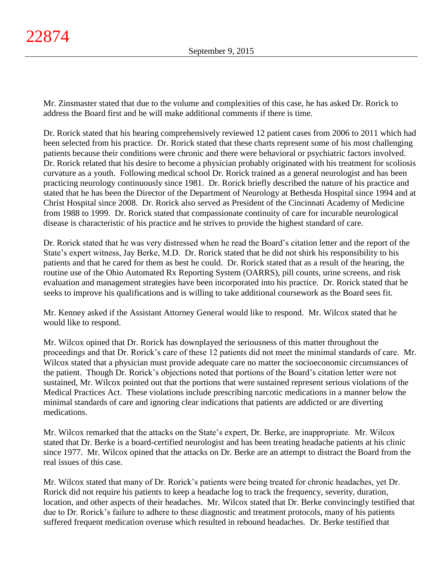Mr. Zinsmaster stated that due to the volume and complexities of this case, he has asked Dr. Rorick to address the Board first and he will make additional comments if there is time.

Dr. Rorick stated that his hearing comprehensively reviewed 12 patient cases from 2006 to 2011 which had been selected from his practice. Dr. Rorick stated that these charts represent some of his most challenging patients because their conditions were chronic and there were behavioral or psychiatric factors involved. Dr. Rorick related that his desire to become a physician probably originated with his treatment for scoliosis curvature as a youth. Following medical school Dr. Rorick trained as a general neurologist and has been practicing neurology continuously since 1981. Dr. Rorick briefly described the nature of his practice and stated that he has been the Director of the Department of Neurology at Bethesda Hospital since 1994 and at Christ Hospital since 2008. Dr. Rorick also served as President of the Cincinnati Academy of Medicine from 1988 to 1999. Dr. Rorick stated that compassionate continuity of care for incurable neurological disease is characteristic of his practice and he strives to provide the highest standard of care.

Dr. Rorick stated that he was very distressed when he read the Board's citation letter and the report of the State's expert witness, Jay Berke, M.D. Dr. Rorick stated that he did not shirk his responsibility to his patients and that he cared for them as best he could. Dr. Rorick stated that as a result of the hearing, the routine use of the Ohio Automated Rx Reporting System (OARRS), pill counts, urine screens, and risk evaluation and management strategies have been incorporated into his practice. Dr. Rorick stated that he seeks to improve his qualifications and is willing to take additional coursework as the Board sees fit.

Mr. Kenney asked if the Assistant Attorney General would like to respond. Mr. Wilcox stated that he would like to respond.

Mr. Wilcox opined that Dr. Rorick has downplayed the seriousness of this matter throughout the proceedings and that Dr. Rorick's care of these 12 patients did not meet the minimal standards of care. Mr. Wilcox stated that a physician must provide adequate care no matter the socioeconomic circumstances of the patient. Though Dr. Rorick's objections noted that portions of the Board's citation letter were not sustained, Mr. Wilcox pointed out that the portions that were sustained represent serious violations of the Medical Practices Act. These violations include prescribing narcotic medications in a manner below the minimal standards of care and ignoring clear indications that patients are addicted or are diverting medications.

Mr. Wilcox remarked that the attacks on the State's expert, Dr. Berke, are inappropriate. Mr. Wilcox stated that Dr. Berke is a board-certified neurologist and has been treating headache patients at his clinic since 1977. Mr. Wilcox opined that the attacks on Dr. Berke are an attempt to distract the Board from the real issues of this case.

Mr. Wilcox stated that many of Dr. Rorick's patients were being treated for chronic headaches, yet Dr. Rorick did not require his patients to keep a headache log to track the frequency, severity, duration, location, and other aspects of their headaches. Mr. Wilcox stated that Dr. Berke convincingly testified that due to Dr. Rorick's failure to adhere to these diagnostic and treatment protocols, many of his patients suffered frequent medication overuse which resulted in rebound headaches. Dr. Berke testified that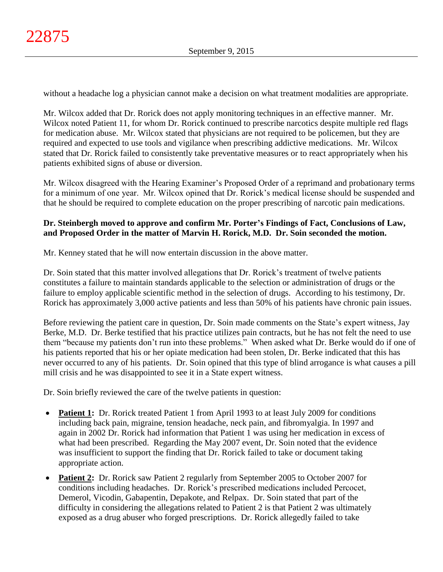without a headache log a physician cannot make a decision on what treatment modalities are appropriate.

Mr. Wilcox added that Dr. Rorick does not apply monitoring techniques in an effective manner. Mr. Wilcox noted Patient 11, for whom Dr. Rorick continued to prescribe narcotics despite multiple red flags for medication abuse. Mr. Wilcox stated that physicians are not required to be policemen, but they are required and expected to use tools and vigilance when prescribing addictive medications. Mr. Wilcox stated that Dr. Rorick failed to consistently take preventative measures or to react appropriately when his patients exhibited signs of abuse or diversion.

Mr. Wilcox disagreed with the Hearing Examiner's Proposed Order of a reprimand and probationary terms for a minimum of one year. Mr. Wilcox opined that Dr. Rorick's medical license should be suspended and that he should be required to complete education on the proper prescribing of narcotic pain medications.

# **Dr. Steinbergh moved to approve and confirm Mr. Porter's Findings of Fact, Conclusions of Law, and Proposed Order in the matter of Marvin H. Rorick, M.D. Dr. Soin seconded the motion.**

Mr. Kenney stated that he will now entertain discussion in the above matter.

Dr. Soin stated that this matter involved allegations that Dr. Rorick's treatment of twelve patients constitutes a failure to maintain standards applicable to the selection or administration of drugs or the failure to employ applicable scientific method in the selection of drugs. According to his testimony, Dr. Rorick has approximately 3,000 active patients and less than 50% of his patients have chronic pain issues.

Before reviewing the patient care in question, Dr. Soin made comments on the State's expert witness, Jay Berke, M.D. Dr. Berke testified that his practice utilizes pain contracts, but he has not felt the need to use them "because my patients don't run into these problems." When asked what Dr. Berke would do if one of his patients reported that his or her opiate medication had been stolen, Dr. Berke indicated that this has never occurred to any of his patients. Dr. Soin opined that this type of blind arrogance is what causes a pill mill crisis and he was disappointed to see it in a State expert witness.

Dr. Soin briefly reviewed the care of the twelve patients in question:

- Patient 1: Dr. Rorick treated Patient 1 from April 1993 to at least July 2009 for conditions including back pain, migraine, tension headache, neck pain, and fibromyalgia. In 1997 and again in 2002 Dr. Rorick had information that Patient 1 was using her medication in excess of what had been prescribed. Regarding the May 2007 event, Dr. Soin noted that the evidence was insufficient to support the finding that Dr. Rorick failed to take or document taking appropriate action.
- **Patient 2:** Dr. Rorick saw Patient 2 regularly from September 2005 to October 2007 for conditions including headaches. Dr. Rorick's prescribed medications included Percocet, Demerol, Vicodin, Gabapentin, Depakote, and Relpax. Dr. Soin stated that part of the difficulty in considering the allegations related to Patient 2 is that Patient 2 was ultimately exposed as a drug abuser who forged prescriptions. Dr. Rorick allegedly failed to take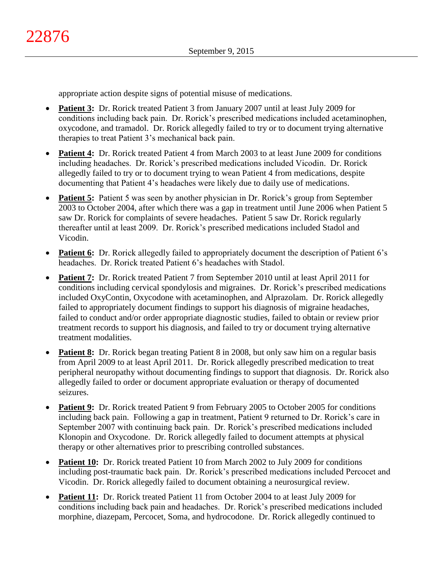appropriate action despite signs of potential misuse of medications.

- **Patient 3:** Dr. Rorick treated Patient 3 from January 2007 until at least July 2009 for conditions including back pain. Dr. Rorick's prescribed medications included acetaminophen, oxycodone, and tramadol. Dr. Rorick allegedly failed to try or to document trying alternative therapies to treat Patient 3's mechanical back pain.
- **Patient 4:** Dr. Rorick treated Patient 4 from March 2003 to at least June 2009 for conditions including headaches. Dr. Rorick's prescribed medications included Vicodin. Dr. Rorick allegedly failed to try or to document trying to wean Patient 4 from medications, despite documenting that Patient 4's headaches were likely due to daily use of medications.
- **Patient 5:** Patient 5 was seen by another physician in Dr. Rorick's group from September 2003 to October 2004, after which there was a gap in treatment until June 2006 when Patient 5 saw Dr. Rorick for complaints of severe headaches. Patient 5 saw Dr. Rorick regularly thereafter until at least 2009. Dr. Rorick's prescribed medications included Stadol and Vicodin.
- **Patient 6:** Dr. Rorick allegedly failed to appropriately document the description of Patient 6's headaches. Dr. Rorick treated Patient 6's headaches with Stadol.
- Patient 7: Dr. Rorick treated Patient 7 from September 2010 until at least April 2011 for conditions including cervical spondylosis and migraines. Dr. Rorick's prescribed medications included OxyContin, Oxycodone with acetaminophen, and Alprazolam. Dr. Rorick allegedly failed to appropriately document findings to support his diagnosis of migraine headaches, failed to conduct and/or order appropriate diagnostic studies, failed to obtain or review prior treatment records to support his diagnosis, and failed to try or document trying alternative treatment modalities.
- **Patient 8:** Dr. Rorick began treating Patient 8 in 2008, but only saw him on a regular basis from April 2009 to at least April 2011. Dr. Rorick allegedly prescribed medication to treat peripheral neuropathy without documenting findings to support that diagnosis. Dr. Rorick also allegedly failed to order or document appropriate evaluation or therapy of documented seizures.
- **Patient 9:** Dr. Rorick treated Patient 9 from February 2005 to October 2005 for conditions including back pain. Following a gap in treatment, Patient 9 returned to Dr. Rorick's care in September 2007 with continuing back pain. Dr. Rorick's prescribed medications included Klonopin and Oxycodone. Dr. Rorick allegedly failed to document attempts at physical therapy or other alternatives prior to prescribing controlled substances.
- **Patient 10:** Dr. Rorick treated Patient 10 from March 2002 to July 2009 for conditions including post-traumatic back pain. Dr. Rorick's prescribed medications included Percocet and Vicodin. Dr. Rorick allegedly failed to document obtaining a neurosurgical review.
- **Patient 11:** Dr. Rorick treated Patient 11 from October 2004 to at least July 2009 for conditions including back pain and headaches. Dr. Rorick's prescribed medications included morphine, diazepam, Percocet, Soma, and hydrocodone. Dr. Rorick allegedly continued to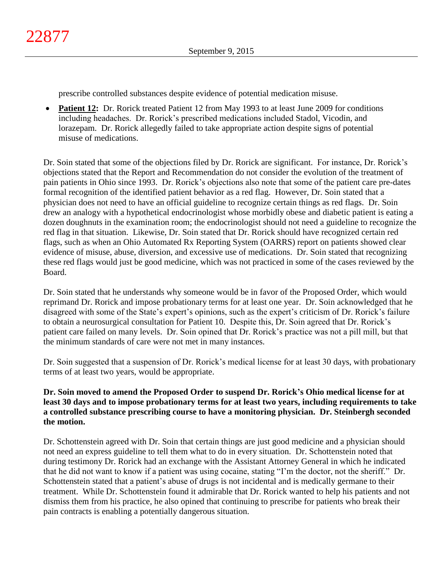prescribe controlled substances despite evidence of potential medication misuse.

• Patient 12: Dr. Rorick treated Patient 12 from May 1993 to at least June 2009 for conditions including headaches. Dr. Rorick's prescribed medications included Stadol, Vicodin, and lorazepam. Dr. Rorick allegedly failed to take appropriate action despite signs of potential misuse of medications.

Dr. Soin stated that some of the objections filed by Dr. Rorick are significant. For instance, Dr. Rorick's objections stated that the Report and Recommendation do not consider the evolution of the treatment of pain patients in Ohio since 1993. Dr. Rorick's objections also note that some of the patient care pre-dates formal recognition of the identified patient behavior as a red flag. However, Dr. Soin stated that a physician does not need to have an official guideline to recognize certain things as red flags. Dr. Soin drew an analogy with a hypothetical endocrinologist whose morbidly obese and diabetic patient is eating a dozen doughnuts in the examination room; the endocrinologist should not need a guideline to recognize the red flag in that situation. Likewise, Dr. Soin stated that Dr. Rorick should have recognized certain red flags, such as when an Ohio Automated Rx Reporting System (OARRS) report on patients showed clear evidence of misuse, abuse, diversion, and excessive use of medications. Dr. Soin stated that recognizing these red flags would just be good medicine, which was not practiced in some of the cases reviewed by the Board.

Dr. Soin stated that he understands why someone would be in favor of the Proposed Order, which would reprimand Dr. Rorick and impose probationary terms for at least one year. Dr. Soin acknowledged that he disagreed with some of the State's expert's opinions, such as the expert's criticism of Dr. Rorick's failure to obtain a neurosurgical consultation for Patient 10. Despite this, Dr. Soin agreed that Dr. Rorick's patient care failed on many levels. Dr. Soin opined that Dr. Rorick's practice was not a pill mill, but that the minimum standards of care were not met in many instances.

Dr. Soin suggested that a suspension of Dr. Rorick's medical license for at least 30 days, with probationary terms of at least two years, would be appropriate.

## **Dr. Soin moved to amend the Proposed Order to suspend Dr. Rorick's Ohio medical license for at least 30 days and to impose probationary terms for at least two years, including requirements to take a controlled substance prescribing course to have a monitoring physician. Dr. Steinbergh seconded the motion.**

Dr. Schottenstein agreed with Dr. Soin that certain things are just good medicine and a physician should not need an express guideline to tell them what to do in every situation. Dr. Schottenstein noted that during testimony Dr. Rorick had an exchange with the Assistant Attorney General in which he indicated that he did not want to know if a patient was using cocaine, stating "I'm the doctor, not the sheriff." Dr. Schottenstein stated that a patient's abuse of drugs is not incidental and is medically germane to their treatment. While Dr. Schottenstein found it admirable that Dr. Rorick wanted to help his patients and not dismiss them from his practice, he also opined that continuing to prescribe for patients who break their pain contracts is enabling a potentially dangerous situation.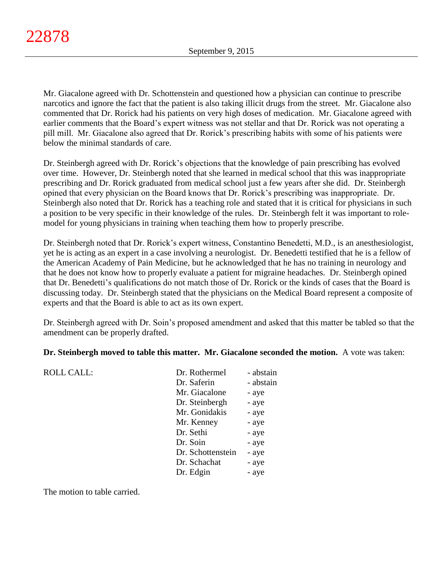Mr. Giacalone agreed with Dr. Schottenstein and questioned how a physician can continue to prescribe narcotics and ignore the fact that the patient is also taking illicit drugs from the street. Mr. Giacalone also commented that Dr. Rorick had his patients on very high doses of medication. Mr. Giacalone agreed with earlier comments that the Board's expert witness was not stellar and that Dr. Rorick was not operating a pill mill. Mr. Giacalone also agreed that Dr. Rorick's prescribing habits with some of his patients were below the minimal standards of care.

Dr. Steinbergh agreed with Dr. Rorick's objections that the knowledge of pain prescribing has evolved over time. However, Dr. Steinbergh noted that she learned in medical school that this was inappropriate prescribing and Dr. Rorick graduated from medical school just a few years after she did. Dr. Steinbergh opined that every physician on the Board knows that Dr. Rorick's prescribing was inappropriate. Dr. Steinbergh also noted that Dr. Rorick has a teaching role and stated that it is critical for physicians in such a position to be very specific in their knowledge of the rules. Dr. Steinbergh felt it was important to rolemodel for young physicians in training when teaching them how to properly prescribe.

Dr. Steinbergh noted that Dr. Rorick's expert witness, Constantino Benedetti, M.D., is an anesthesiologist, yet he is acting as an expert in a case involving a neurologist. Dr. Benedetti testified that he is a fellow of the American Academy of Pain Medicine, but he acknowledged that he has no training in neurology and that he does not know how to properly evaluate a patient for migraine headaches. Dr. Steinbergh opined that Dr. Benedetti's qualifications do not match those of Dr. Rorick or the kinds of cases that the Board is discussing today. Dr. Steinbergh stated that the physicians on the Medical Board represent a composite of experts and that the Board is able to act as its own expert.

Dr. Steinbergh agreed with Dr. Soin's proposed amendment and asked that this matter be tabled so that the amendment can be properly drafted.

### **Dr. Steinbergh moved to table this matter. Mr. Giacalone seconded the motion.** A vote was taken:

| <b>ROLL CALL:</b> | Dr. Rothermel     | - abstain |
|-------------------|-------------------|-----------|
|                   | Dr. Saferin       | - abstain |
|                   | Mr. Giacalone     | - aye     |
|                   | Dr. Steinbergh    | - aye     |
|                   | Mr. Gonidakis     | - aye     |
|                   | Mr. Kenney        | - aye     |
|                   | Dr. Sethi         | - aye     |
|                   | Dr. Soin          | - aye     |
|                   | Dr. Schottenstein | - aye     |
|                   | Dr. Schachat      | - aye     |
|                   | Dr. Edgin         | - aye     |
|                   |                   |           |

The motion to table carried.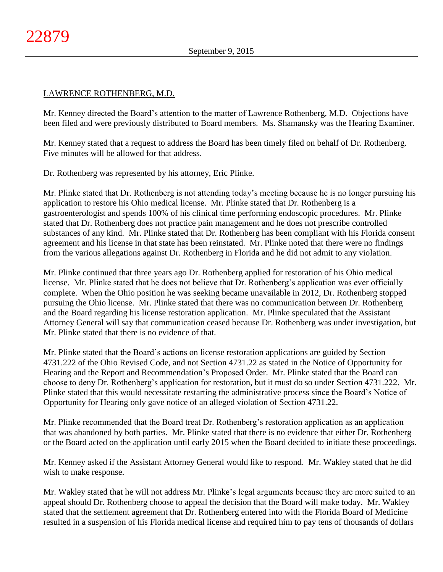### LAWRENCE ROTHENBERG, M.D.

Mr. Kenney directed the Board's attention to the matter of Lawrence Rothenberg, M.D. Objections have been filed and were previously distributed to Board members. Ms. Shamansky was the Hearing Examiner.

Mr. Kenney stated that a request to address the Board has been timely filed on behalf of Dr. Rothenberg. Five minutes will be allowed for that address.

Dr. Rothenberg was represented by his attorney, Eric Plinke.

Mr. Plinke stated that Dr. Rothenberg is not attending today's meeting because he is no longer pursuing his application to restore his Ohio medical license. Mr. Plinke stated that Dr. Rothenberg is a gastroenterologist and spends 100% of his clinical time performing endoscopic procedures. Mr. Plinke stated that Dr. Rothenberg does not practice pain management and he does not prescribe controlled substances of any kind. Mr. Plinke stated that Dr. Rothenberg has been compliant with his Florida consent agreement and his license in that state has been reinstated. Mr. Plinke noted that there were no findings from the various allegations against Dr. Rothenberg in Florida and he did not admit to any violation.

Mr. Plinke continued that three years ago Dr. Rothenberg applied for restoration of his Ohio medical license. Mr. Plinke stated that he does not believe that Dr. Rothenberg's application was ever officially complete. When the Ohio position he was seeking became unavailable in 2012, Dr. Rothenberg stopped pursuing the Ohio license. Mr. Plinke stated that there was no communication between Dr. Rothenberg and the Board regarding his license restoration application. Mr. Plinke speculated that the Assistant Attorney General will say that communication ceased because Dr. Rothenberg was under investigation, but Mr. Plinke stated that there is no evidence of that.

Mr. Plinke stated that the Board's actions on license restoration applications are guided by Section 4731.222 of the Ohio Revised Code, and not Section 4731.22 as stated in the Notice of Opportunity for Hearing and the Report and Recommendation's Proposed Order. Mr. Plinke stated that the Board can choose to deny Dr. Rothenberg's application for restoration, but it must do so under Section 4731.222. Mr. Plinke stated that this would necessitate restarting the administrative process since the Board's Notice of Opportunity for Hearing only gave notice of an alleged violation of Section 4731.22.

Mr. Plinke recommended that the Board treat Dr. Rothenberg's restoration application as an application that was abandoned by both parties. Mr. Plinke stated that there is no evidence that either Dr. Rothenberg or the Board acted on the application until early 2015 when the Board decided to initiate these proceedings.

Mr. Kenney asked if the Assistant Attorney General would like to respond. Mr. Wakley stated that he did wish to make response.

Mr. Wakley stated that he will not address Mr. Plinke's legal arguments because they are more suited to an appeal should Dr. Rothenberg choose to appeal the decision that the Board will make today. Mr. Wakley stated that the settlement agreement that Dr. Rothenberg entered into with the Florida Board of Medicine resulted in a suspension of his Florida medical license and required him to pay tens of thousands of dollars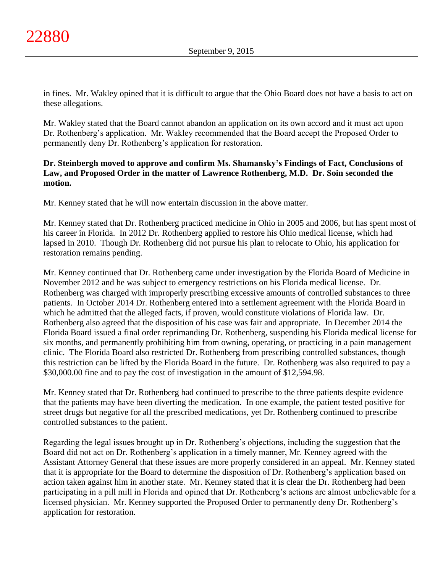in fines. Mr. Wakley opined that it is difficult to argue that the Ohio Board does not have a basis to act on these allegations.

Mr. Wakley stated that the Board cannot abandon an application on its own accord and it must act upon Dr. Rothenberg's application. Mr. Wakley recommended that the Board accept the Proposed Order to permanently deny Dr. Rothenberg's application for restoration.

## **Dr. Steinbergh moved to approve and confirm Ms. Shamansky's Findings of Fact, Conclusions of Law, and Proposed Order in the matter of Lawrence Rothenberg, M.D. Dr. Soin seconded the motion.**

Mr. Kenney stated that he will now entertain discussion in the above matter.

Mr. Kenney stated that Dr. Rothenberg practiced medicine in Ohio in 2005 and 2006, but has spent most of his career in Florida. In 2012 Dr. Rothenberg applied to restore his Ohio medical license, which had lapsed in 2010. Though Dr. Rothenberg did not pursue his plan to relocate to Ohio, his application for restoration remains pending.

Mr. Kenney continued that Dr. Rothenberg came under investigation by the Florida Board of Medicine in November 2012 and he was subject to emergency restrictions on his Florida medical license. Dr. Rothenberg was charged with improperly prescribing excessive amounts of controlled substances to three patients. In October 2014 Dr. Rothenberg entered into a settlement agreement with the Florida Board in which he admitted that the alleged facts, if proven, would constitute violations of Florida law. Dr. Rothenberg also agreed that the disposition of his case was fair and appropriate. In December 2014 the Florida Board issued a final order reprimanding Dr. Rothenberg, suspending his Florida medical license for six months, and permanently prohibiting him from owning, operating, or practicing in a pain management clinic. The Florida Board also restricted Dr. Rothenberg from prescribing controlled substances, though this restriction can be lifted by the Florida Board in the future. Dr. Rothenberg was also required to pay a \$30,000.00 fine and to pay the cost of investigation in the amount of \$12,594.98.

Mr. Kenney stated that Dr. Rothenberg had continued to prescribe to the three patients despite evidence that the patients may have been diverting the medication. In one example, the patient tested positive for street drugs but negative for all the prescribed medications, yet Dr. Rothenberg continued to prescribe controlled substances to the patient.

Regarding the legal issues brought up in Dr. Rothenberg's objections, including the suggestion that the Board did not act on Dr. Rothenberg's application in a timely manner, Mr. Kenney agreed with the Assistant Attorney General that these issues are more properly considered in an appeal. Mr. Kenney stated that it is appropriate for the Board to determine the disposition of Dr. Rothenberg's application based on action taken against him in another state. Mr. Kenney stated that it is clear the Dr. Rothenberg had been participating in a pill mill in Florida and opined that Dr. Rothenberg's actions are almost unbelievable for a licensed physician. Mr. Kenney supported the Proposed Order to permanently deny Dr. Rothenberg's application for restoration.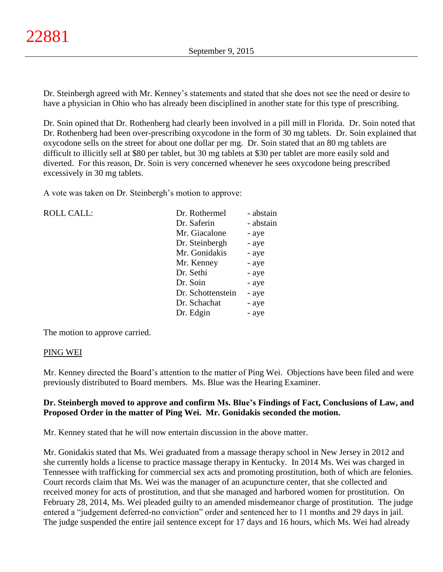Dr. Steinbergh agreed with Mr. Kenney's statements and stated that she does not see the need or desire to have a physician in Ohio who has already been disciplined in another state for this type of prescribing.

Dr. Soin opined that Dr. Rothenberg had clearly been involved in a pill mill in Florida. Dr. Soin noted that Dr. Rothenberg had been over-prescribing oxycodone in the form of 30 mg tablets. Dr. Soin explained that oxycodone sells on the street for about one dollar per mg. Dr. Soin stated that an 80 mg tablets are difficult to illicitly sell at \$80 per tablet, but 30 mg tablets at \$30 per tablet are more easily sold and diverted. For this reason, Dr. Soin is very concerned whenever he sees oxycodone being prescribed excessively in 30 mg tablets.

A vote was taken on Dr. Steinbergh's motion to approve:

| <b>ROLL CALL:</b> | Dr. Rothermel     | - abstain |
|-------------------|-------------------|-----------|
|                   | Dr. Saferin       | - abstain |
|                   | Mr. Giacalone     | - aye     |
|                   | Dr. Steinbergh    | - aye     |
|                   | Mr. Gonidakis     | - aye     |
|                   | Mr. Kenney        | - aye     |
|                   | Dr. Sethi         | - aye     |
|                   | Dr. Soin          | - aye     |
|                   | Dr. Schottenstein | - aye     |
|                   | Dr. Schachat      | - aye     |
|                   | Dr. Edgin         | - aye     |
|                   |                   |           |

The motion to approve carried.

### PING WEI

Mr. Kenney directed the Board's attention to the matter of Ping Wei. Objections have been filed and were previously distributed to Board members. Ms. Blue was the Hearing Examiner.

# **Dr. Steinbergh moved to approve and confirm Ms. Blue's Findings of Fact, Conclusions of Law, and Proposed Order in the matter of Ping Wei. Mr. Gonidakis seconded the motion.**

Mr. Kenney stated that he will now entertain discussion in the above matter.

Mr. Gonidakis stated that Ms. Wei graduated from a massage therapy school in New Jersey in 2012 and she currently holds a license to practice massage therapy in Kentucky. In 2014 Ms. Wei was charged in Tennessee with trafficking for commercial sex acts and promoting prostitution, both of which are felonies. Court records claim that Ms. Wei was the manager of an acupuncture center, that she collected and received money for acts of prostitution, and that she managed and harbored women for prostitution. On February 28, 2014, Ms. Wei pleaded guilty to an amended misdemeanor charge of prostitution. The judge entered a "judgement deferred-no conviction" order and sentenced her to 11 months and 29 days in jail. The judge suspended the entire jail sentence except for 17 days and 16 hours, which Ms. Wei had already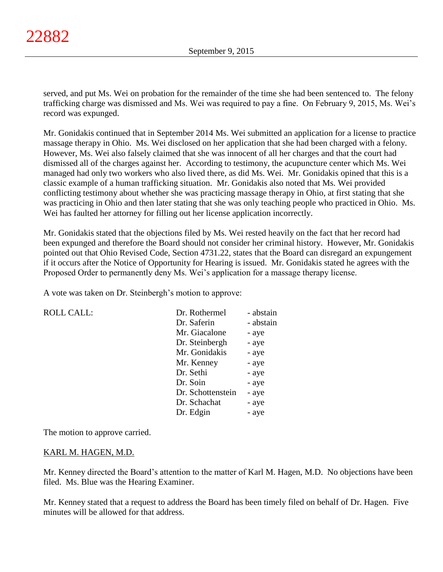served, and put Ms. Wei on probation for the remainder of the time she had been sentenced to. The felony trafficking charge was dismissed and Ms. Wei was required to pay a fine. On February 9, 2015, Ms. Wei's record was expunged.

Mr. Gonidakis continued that in September 2014 Ms. Wei submitted an application for a license to practice massage therapy in Ohio. Ms. Wei disclosed on her application that she had been charged with a felony. However, Ms. Wei also falsely claimed that she was innocent of all her charges and that the court had dismissed all of the charges against her. According to testimony, the acupuncture center which Ms. Wei managed had only two workers who also lived there, as did Ms. Wei. Mr. Gonidakis opined that this is a classic example of a human trafficking situation. Mr. Gonidakis also noted that Ms. Wei provided conflicting testimony about whether she was practicing massage therapy in Ohio, at first stating that she was practicing in Ohio and then later stating that she was only teaching people who practiced in Ohio. Ms. Wei has faulted her attorney for filling out her license application incorrectly.

Mr. Gonidakis stated that the objections filed by Ms. Wei rested heavily on the fact that her record had been expunged and therefore the Board should not consider her criminal history. However, Mr. Gonidakis pointed out that Ohio Revised Code, Section 4731.22, states that the Board can disregard an expungement if it occurs after the Notice of Opportunity for Hearing is issued. Mr. Gonidakis stated he agrees with the Proposed Order to permanently deny Ms. Wei's application for a massage therapy license.

A vote was taken on Dr. Steinbergh's motion to approve:

| <b>ROLL CALL:</b> | Dr. Rothermel     | - abstain |
|-------------------|-------------------|-----------|
|                   | Dr. Saferin       | - abstain |
|                   | Mr. Giacalone     | - aye     |
|                   | Dr. Steinbergh    | - aye     |
|                   | Mr. Gonidakis     | - aye     |
|                   | Mr. Kenney        | - aye     |
|                   | Dr. Sethi         | - aye     |
|                   | Dr. Soin          | - aye     |
|                   | Dr. Schottenstein | - aye     |
|                   | Dr. Schachat      | - aye     |
|                   | Dr. Edgin         | - ave     |

The motion to approve carried.

#### KARL M. HAGEN, M.D.

Mr. Kenney directed the Board's attention to the matter of Karl M. Hagen, M.D. No objections have been filed. Ms. Blue was the Hearing Examiner.

Mr. Kenney stated that a request to address the Board has been timely filed on behalf of Dr. Hagen. Five minutes will be allowed for that address.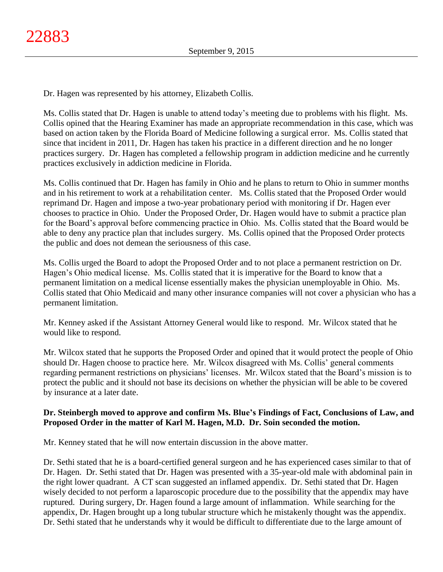Dr. Hagen was represented by his attorney, Elizabeth Collis.

Ms. Collis stated that Dr. Hagen is unable to attend today's meeting due to problems with his flight. Ms. Collis opined that the Hearing Examiner has made an appropriate recommendation in this case, which was based on action taken by the Florida Board of Medicine following a surgical error. Ms. Collis stated that since that incident in 2011, Dr. Hagen has taken his practice in a different direction and he no longer practices surgery. Dr. Hagen has completed a fellowship program in addiction medicine and he currently practices exclusively in addiction medicine in Florida.

Ms. Collis continued that Dr. Hagen has family in Ohio and he plans to return to Ohio in summer months and in his retirement to work at a rehabilitation center. Ms. Collis stated that the Proposed Order would reprimand Dr. Hagen and impose a two-year probationary period with monitoring if Dr. Hagen ever chooses to practice in Ohio. Under the Proposed Order, Dr. Hagen would have to submit a practice plan for the Board's approval before commencing practice in Ohio. Ms. Collis stated that the Board would be able to deny any practice plan that includes surgery. Ms. Collis opined that the Proposed Order protects the public and does not demean the seriousness of this case.

Ms. Collis urged the Board to adopt the Proposed Order and to not place a permanent restriction on Dr. Hagen's Ohio medical license. Ms. Collis stated that it is imperative for the Board to know that a permanent limitation on a medical license essentially makes the physician unemployable in Ohio. Ms. Collis stated that Ohio Medicaid and many other insurance companies will not cover a physician who has a permanent limitation.

Mr. Kenney asked if the Assistant Attorney General would like to respond. Mr. Wilcox stated that he would like to respond.

Mr. Wilcox stated that he supports the Proposed Order and opined that it would protect the people of Ohio should Dr. Hagen choose to practice here. Mr. Wilcox disagreed with Ms. Collis' general comments regarding permanent restrictions on physicians' licenses. Mr. Wilcox stated that the Board's mission is to protect the public and it should not base its decisions on whether the physician will be able to be covered by insurance at a later date.

# **Dr. Steinbergh moved to approve and confirm Ms. Blue's Findings of Fact, Conclusions of Law, and Proposed Order in the matter of Karl M. Hagen, M.D. Dr. Soin seconded the motion.**

Mr. Kenney stated that he will now entertain discussion in the above matter.

Dr. Sethi stated that he is a board-certified general surgeon and he has experienced cases similar to that of Dr. Hagen. Dr. Sethi stated that Dr. Hagen was presented with a 35-year-old male with abdominal pain in the right lower quadrant. A CT scan suggested an inflamed appendix. Dr. Sethi stated that Dr. Hagen wisely decided to not perform a laparoscopic procedure due to the possibility that the appendix may have ruptured. During surgery, Dr. Hagen found a large amount of inflammation. While searching for the appendix, Dr. Hagen brought up a long tubular structure which he mistakenly thought was the appendix. Dr. Sethi stated that he understands why it would be difficult to differentiate due to the large amount of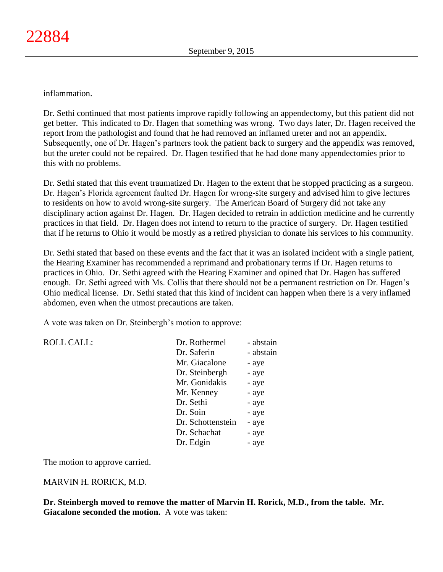inflammation.

Dr. Sethi continued that most patients improve rapidly following an appendectomy, but this patient did not get better. This indicated to Dr. Hagen that something was wrong. Two days later, Dr. Hagen received the report from the pathologist and found that he had removed an inflamed ureter and not an appendix. Subsequently, one of Dr. Hagen's partners took the patient back to surgery and the appendix was removed, but the ureter could not be repaired. Dr. Hagen testified that he had done many appendectomies prior to this with no problems.

Dr. Sethi stated that this event traumatized Dr. Hagen to the extent that he stopped practicing as a surgeon. Dr. Hagen's Florida agreement faulted Dr. Hagen for wrong-site surgery and advised him to give lectures to residents on how to avoid wrong-site surgery. The American Board of Surgery did not take any disciplinary action against Dr. Hagen. Dr. Hagen decided to retrain in addiction medicine and he currently practices in that field. Dr. Hagen does not intend to return to the practice of surgery. Dr. Hagen testified that if he returns to Ohio it would be mostly as a retired physician to donate his services to his community.

Dr. Sethi stated that based on these events and the fact that it was an isolated incident with a single patient, the Hearing Examiner has recommended a reprimand and probationary terms if Dr. Hagen returns to practices in Ohio. Dr. Sethi agreed with the Hearing Examiner and opined that Dr. Hagen has suffered enough. Dr. Sethi agreed with Ms. Collis that there should not be a permanent restriction on Dr. Hagen's Ohio medical license. Dr. Sethi stated that this kind of incident can happen when there is a very inflamed abdomen, even when the utmost precautions are taken.

A vote was taken on Dr. Steinbergh's motion to approve:

| <b>ROLL CALL:</b> | Dr. Rothermel     | - abstain |
|-------------------|-------------------|-----------|
|                   | Dr. Saferin       | - abstain |
|                   | Mr. Giacalone     | - aye     |
|                   | Dr. Steinbergh    | - aye     |
|                   | Mr. Gonidakis     | - aye     |
|                   | Mr. Kenney        | - aye     |
|                   | Dr. Sethi         | - aye     |
|                   | Dr. Soin          | - aye     |
|                   | Dr. Schottenstein | - aye     |
|                   | Dr. Schachat      | - aye     |
|                   | Dr. Edgin         | - aye     |
|                   |                   |           |

The motion to approve carried.

# MARVIN H. RORICK, M.D.

**Dr. Steinbergh moved to remove the matter of Marvin H. Rorick, M.D., from the table. Mr. Giacalone seconded the motion.** A vote was taken: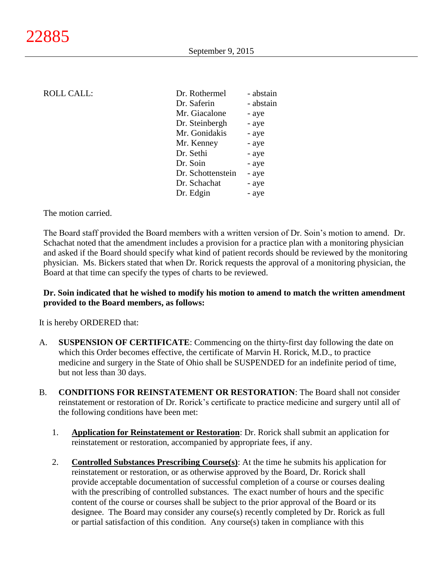| <b>ROLL CALL:</b> | Dr. Rothermel     | - abstain |
|-------------------|-------------------|-----------|
|                   | Dr. Saferin       | - abstain |
|                   | Mr. Giacalone     | - aye     |
|                   | Dr. Steinbergh    | - aye     |
|                   | Mr. Gonidakis     | - aye     |
|                   | Mr. Kenney        | - aye     |
|                   | Dr. Sethi         | - aye     |
|                   | Dr. Soin          | - aye     |
|                   | Dr. Schottenstein | - aye     |
|                   | Dr. Schachat      | - aye     |
|                   | Dr. Edgin         | - aye     |
|                   |                   |           |

The motion carried.

The Board staff provided the Board members with a written version of Dr. Soin's motion to amend. Dr. Schachat noted that the amendment includes a provision for a practice plan with a monitoring physician and asked if the Board should specify what kind of patient records should be reviewed by the monitoring physician. Ms. Bickers stated that when Dr. Rorick requests the approval of a monitoring physician, the Board at that time can specify the types of charts to be reviewed.

### **Dr. Soin indicated that he wished to modify his motion to amend to match the written amendment provided to the Board members, as follows:**

It is hereby ORDERED that:

- A. **SUSPENSION OF CERTIFICATE**: Commencing on the thirty-first day following the date on which this Order becomes effective, the certificate of Marvin H. Rorick, M.D., to practice medicine and surgery in the State of Ohio shall be SUSPENDED for an indefinite period of time, but not less than 30 days.
- B. **CONDITIONS FOR REINSTATEMENT OR RESTORATION**: The Board shall not consider reinstatement or restoration of Dr. Rorick's certificate to practice medicine and surgery until all of the following conditions have been met:
	- 1. **Application for Reinstatement or Restoration**: Dr. Rorick shall submit an application for reinstatement or restoration, accompanied by appropriate fees, if any.
	- 2. **Controlled Substances Prescribing Course(s)**: At the time he submits his application for reinstatement or restoration, or as otherwise approved by the Board, Dr. Rorick shall provide acceptable documentation of successful completion of a course or courses dealing with the prescribing of controlled substances. The exact number of hours and the specific content of the course or courses shall be subject to the prior approval of the Board or its designee. The Board may consider any course(s) recently completed by Dr. Rorick as full or partial satisfaction of this condition. Any course(s) taken in compliance with this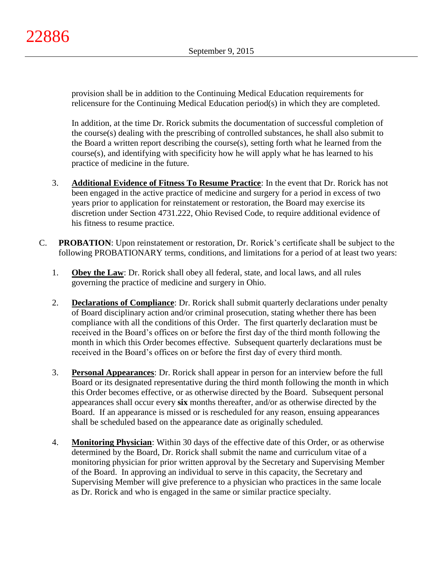provision shall be in addition to the Continuing Medical Education requirements for relicensure for the Continuing Medical Education period(s) in which they are completed.

In addition, at the time Dr. Rorick submits the documentation of successful completion of the course(s) dealing with the prescribing of controlled substances, he shall also submit to the Board a written report describing the course(s), setting forth what he learned from the course(s), and identifying with specificity how he will apply what he has learned to his practice of medicine in the future.

- 3. **Additional Evidence of Fitness To Resume Practice**: In the event that Dr. Rorick has not been engaged in the active practice of medicine and surgery for a period in excess of two years prior to application for reinstatement or restoration, the Board may exercise its discretion under Section 4731.222, Ohio Revised Code, to require additional evidence of his fitness to resume practice.
- C. **PROBATION**: Upon reinstatement or restoration, Dr. Rorick's certificate shall be subject to the following PROBATIONARY terms, conditions, and limitations for a period of at least two years:
	- 1. **Obey the Law**: Dr. Rorick shall obey all federal, state, and local laws, and all rules governing the practice of medicine and surgery in Ohio.
	- 2. **Declarations of Compliance**: Dr. Rorick shall submit quarterly declarations under penalty of Board disciplinary action and/or criminal prosecution, stating whether there has been compliance with all the conditions of this Order. The first quarterly declaration must be received in the Board's offices on or before the first day of the third month following the month in which this Order becomes effective. Subsequent quarterly declarations must be received in the Board's offices on or before the first day of every third month.
	- 3. **Personal Appearances**: Dr. Rorick shall appear in person for an interview before the full Board or its designated representative during the third month following the month in which this Order becomes effective, or as otherwise directed by the Board. Subsequent personal appearances shall occur every **six** months thereafter, and/or as otherwise directed by the Board. If an appearance is missed or is rescheduled for any reason, ensuing appearances shall be scheduled based on the appearance date as originally scheduled.
	- 4. **Monitoring Physician**: Within 30 days of the effective date of this Order, or as otherwise determined by the Board, Dr. Rorick shall submit the name and curriculum vitae of a monitoring physician for prior written approval by the Secretary and Supervising Member of the Board. In approving an individual to serve in this capacity, the Secretary and Supervising Member will give preference to a physician who practices in the same locale as Dr. Rorick and who is engaged in the same or similar practice specialty.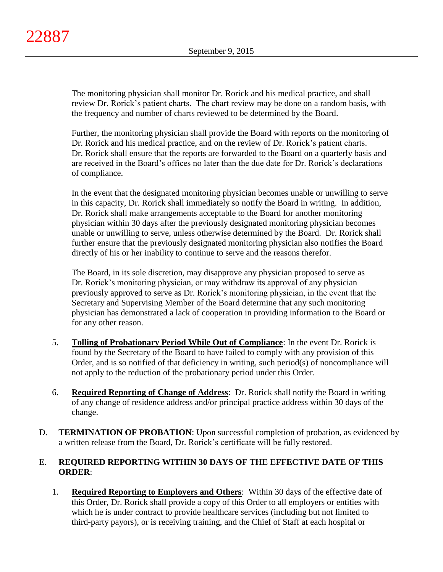The monitoring physician shall monitor Dr. Rorick and his medical practice, and shall review Dr. Rorick's patient charts. The chart review may be done on a random basis, with the frequency and number of charts reviewed to be determined by the Board.

Further, the monitoring physician shall provide the Board with reports on the monitoring of Dr. Rorick and his medical practice, and on the review of Dr. Rorick's patient charts. Dr. Rorick shall ensure that the reports are forwarded to the Board on a quarterly basis and are received in the Board's offices no later than the due date for Dr. Rorick's declarations of compliance.

In the event that the designated monitoring physician becomes unable or unwilling to serve in this capacity, Dr. Rorick shall immediately so notify the Board in writing. In addition, Dr. Rorick shall make arrangements acceptable to the Board for another monitoring physician within 30 days after the previously designated monitoring physician becomes unable or unwilling to serve, unless otherwise determined by the Board. Dr. Rorick shall further ensure that the previously designated monitoring physician also notifies the Board directly of his or her inability to continue to serve and the reasons therefor.

The Board, in its sole discretion, may disapprove any physician proposed to serve as Dr. Rorick's monitoring physician, or may withdraw its approval of any physician previously approved to serve as Dr. Rorick's monitoring physician, in the event that the Secretary and Supervising Member of the Board determine that any such monitoring physician has demonstrated a lack of cooperation in providing information to the Board or for any other reason.

- 5. **Tolling of Probationary Period While Out of Compliance**: In the event Dr. Rorick is found by the Secretary of the Board to have failed to comply with any provision of this Order, and is so notified of that deficiency in writing, such period(s) of noncompliance will not apply to the reduction of the probationary period under this Order.
- 6. **Required Reporting of Change of Address**: Dr. Rorick shall notify the Board in writing of any change of residence address and/or principal practice address within 30 days of the change.
- D. **TERMINATION OF PROBATION**: Upon successful completion of probation, as evidenced by a written release from the Board, Dr. Rorick's certificate will be fully restored.

# E. **REQUIRED REPORTING WITHIN 30 DAYS OF THE EFFECTIVE DATE OF THIS ORDER**:

1. **Required Reporting to Employers and Others**: Within 30 days of the effective date of this Order, Dr. Rorick shall provide a copy of this Order to all employers or entities with which he is under contract to provide healthcare services (including but not limited to third-party payors), or is receiving training, and the Chief of Staff at each hospital or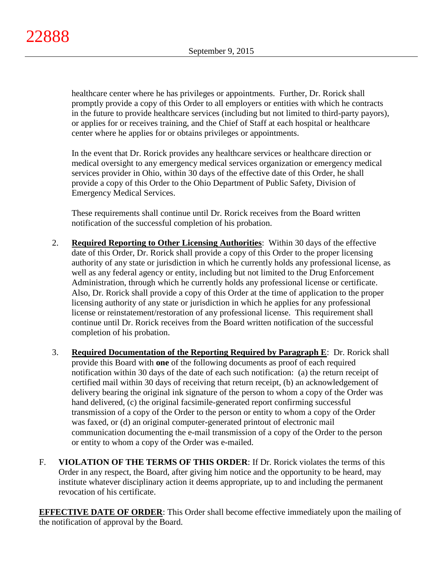healthcare center where he has privileges or appointments. Further, Dr. Rorick shall promptly provide a copy of this Order to all employers or entities with which he contracts in the future to provide healthcare services (including but not limited to third-party payors), or applies for or receives training, and the Chief of Staff at each hospital or healthcare center where he applies for or obtains privileges or appointments.

In the event that Dr. Rorick provides any healthcare services or healthcare direction or medical oversight to any emergency medical services organization or emergency medical services provider in Ohio, within 30 days of the effective date of this Order, he shall provide a copy of this Order to the Ohio Department of Public Safety, Division of Emergency Medical Services.

These requirements shall continue until Dr. Rorick receives from the Board written notification of the successful completion of his probation.

- 2. **Required Reporting to Other Licensing Authorities**: Within 30 days of the effective date of this Order, Dr. Rorick shall provide a copy of this Order to the proper licensing authority of any state or jurisdiction in which he currently holds any professional license, as well as any federal agency or entity, including but not limited to the Drug Enforcement Administration, through which he currently holds any professional license or certificate. Also, Dr. Rorick shall provide a copy of this Order at the time of application to the proper licensing authority of any state or jurisdiction in which he applies for any professional license or reinstatement/restoration of any professional license. This requirement shall continue until Dr. Rorick receives from the Board written notification of the successful completion of his probation.
- 3. **Required Documentation of the Reporting Required by Paragraph E**: Dr. Rorick shall provide this Board with **one** of the following documents as proof of each required notification within 30 days of the date of each such notification: (a) the return receipt of certified mail within 30 days of receiving that return receipt, (b) an acknowledgement of delivery bearing the original ink signature of the person to whom a copy of the Order was hand delivered, (c) the original facsimile-generated report confirming successful transmission of a copy of the Order to the person or entity to whom a copy of the Order was faxed, or (d) an original computer-generated printout of electronic mail communication documenting the e-mail transmission of a copy of the Order to the person or entity to whom a copy of the Order was e-mailed.
- F. **VIOLATION OF THE TERMS OF THIS ORDER**: If Dr. Rorick violates the terms of this Order in any respect, the Board, after giving him notice and the opportunity to be heard, may institute whatever disciplinary action it deems appropriate, up to and including the permanent revocation of his certificate.

**EFFECTIVE DATE OF ORDER:** This Order shall become effective immediately upon the mailing of the notification of approval by the Board.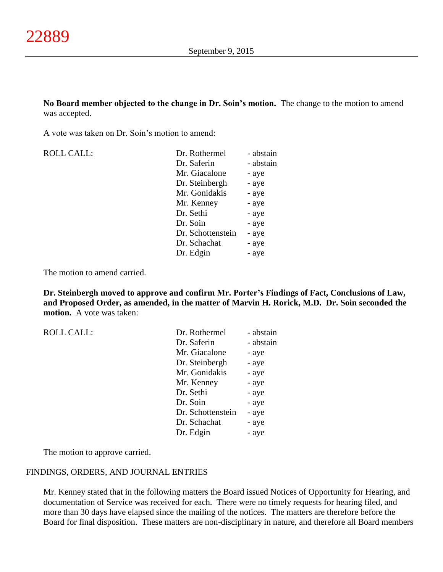**No Board member objected to the change in Dr. Soin's motion.** The change to the motion to amend was accepted.

A vote was taken on Dr. Soin's motion to amend:

| <b>ROLL CALL:</b> | Dr. Rothermel     | - abstain |
|-------------------|-------------------|-----------|
|                   | Dr. Saferin       | - abstain |
|                   | Mr. Giacalone     | - aye     |
|                   | Dr. Steinbergh    | - aye     |
|                   | Mr. Gonidakis     | - aye     |
|                   | Mr. Kenney        | - aye     |
|                   | Dr. Sethi         | - aye     |
|                   | Dr. Soin          | - aye     |
|                   | Dr. Schottenstein | - aye     |
|                   | Dr. Schachat      | - aye     |
|                   | Dr. Edgin         | - aye     |

The motion to amend carried.

**Dr. Steinbergh moved to approve and confirm Mr. Porter's Findings of Fact, Conclusions of Law, and Proposed Order, as amended, in the matter of Marvin H. Rorick, M.D. Dr. Soin seconded the motion.** A vote was taken:

| <b>ROLL CALL:</b> | Dr. Rothermel     | - abstain |
|-------------------|-------------------|-----------|
|                   | Dr. Saferin       | - abstain |
|                   | Mr. Giacalone     | - aye     |
|                   | Dr. Steinbergh    | - aye     |
|                   | Mr. Gonidakis     | - aye     |
|                   | Mr. Kenney        | - aye     |
|                   | Dr. Sethi         | - aye     |
|                   | Dr. Soin          | - aye     |
|                   | Dr. Schottenstein | - aye     |
|                   | Dr. Schachat      | - aye     |
|                   | Dr. Edgin         | - aye     |
|                   |                   |           |

The motion to approve carried.

#### FINDINGS, ORDERS, AND JOURNAL ENTRIES

Mr. Kenney stated that in the following matters the Board issued Notices of Opportunity for Hearing, and documentation of Service was received for each. There were no timely requests for hearing filed, and more than 30 days have elapsed since the mailing of the notices. The matters are therefore before the Board for final disposition. These matters are non-disciplinary in nature, and therefore all Board members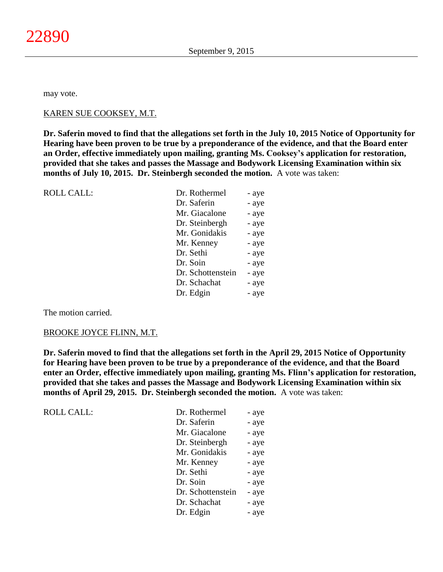may vote.

#### KAREN SUE COOKSEY, M.T.

**Dr. Saferin moved to find that the allegations set forth in the July 10, 2015 Notice of Opportunity for Hearing have been proven to be true by a preponderance of the evidence, and that the Board enter an Order, effective immediately upon mailing, granting Ms. Cooksey's application for restoration, provided that she takes and passes the Massage and Bodywork Licensing Examination within six months of July 10, 2015. Dr. Steinbergh seconded the motion.** A vote was taken:

| <b>ROLL CALL:</b> | Dr. Rothermel     | - aye |
|-------------------|-------------------|-------|
|                   | Dr. Saferin       | - aye |
|                   | Mr. Giacalone     | - aye |
|                   | Dr. Steinbergh    | - aye |
|                   | Mr. Gonidakis     | - aye |
|                   | Mr. Kenney        | - aye |
|                   | Dr. Sethi         | - aye |
|                   | Dr. Soin          | - aye |
|                   | Dr. Schottenstein | - aye |
|                   | Dr. Schachat      | - aye |
|                   | Dr. Edgin         | - aye |
|                   |                   |       |

The motion carried.

#### BROOKE JOYCE FLINN, M.T.

**Dr. Saferin moved to find that the allegations set forth in the April 29, 2015 Notice of Opportunity for Hearing have been proven to be true by a preponderance of the evidence, and that the Board enter an Order, effective immediately upon mailing, granting Ms. Flinn's application for restoration, provided that she takes and passes the Massage and Bodywork Licensing Examination within six months of April 29, 2015. Dr. Steinbergh seconded the motion.** A vote was taken:

| <b>ROLL CALL:</b> | Dr. Rothermel     | - aye |
|-------------------|-------------------|-------|
|                   | Dr. Saferin       | - aye |
|                   | Mr. Giacalone     | - aye |
|                   | Dr. Steinbergh    | - aye |
|                   | Mr. Gonidakis     | - aye |
|                   | Mr. Kenney        | - aye |
|                   | Dr. Sethi         | - aye |
|                   | Dr. Soin          | - aye |
|                   | Dr. Schottenstein | - aye |
|                   | Dr. Schachat      | - aye |
|                   | Dr. Edgin         | - aye |
|                   |                   |       |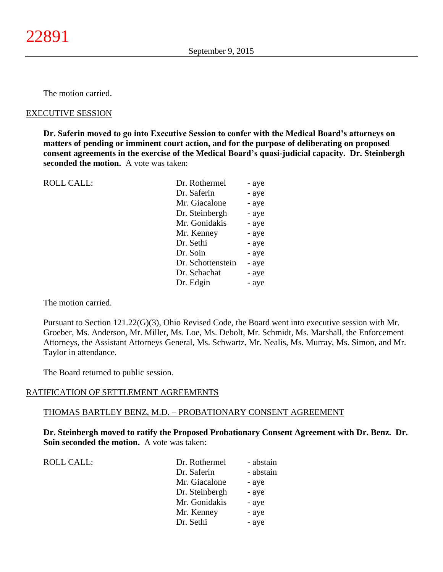The motion carried.

### EXECUTIVE SESSION

**Dr. Saferin moved to go into Executive Session to confer with the Medical Board's attorneys on matters of pending or imminent court action, and for the purpose of deliberating on proposed consent agreements in the exercise of the Medical Board's quasi-judicial capacity. Dr. Steinbergh seconded the motion.** A vote was taken:

| <b>ROLL CALL:</b> | Dr. Rothermel     | - aye |
|-------------------|-------------------|-------|
|                   | Dr. Saferin       | - aye |
|                   | Mr. Giacalone     | - aye |
|                   | Dr. Steinbergh    | - aye |
|                   | Mr. Gonidakis     | - aye |
|                   | Mr. Kenney        | - aye |
|                   | Dr. Sethi         | - aye |
|                   | Dr. Soin          | - aye |
|                   | Dr. Schottenstein | - aye |
|                   | Dr. Schachat      | - aye |
|                   | Dr. Edgin         | - aye |

The motion carried.

Pursuant to Section 121.22(G)(3), Ohio Revised Code, the Board went into executive session with Mr. Groeber, Ms. Anderson, Mr. Miller, Ms. Loe, Ms. Debolt, Mr. Schmidt, Ms. Marshall, the Enforcement Attorneys, the Assistant Attorneys General, Ms. Schwartz, Mr. Nealis, Ms. Murray, Ms. Simon, and Mr. Taylor in attendance.

The Board returned to public session.

#### RATIFICATION OF SETTLEMENT AGREEMENTS

#### THOMAS BARTLEY BENZ, M.D. – PROBATIONARY CONSENT AGREEMENT

**Dr. Steinbergh moved to ratify the Proposed Probationary Consent Agreement with Dr. Benz. Dr. Soin seconded the motion.** A vote was taken:

|  | ULL CALL: |  |
|--|-----------|--|
|  |           |  |
|  |           |  |

| <b>ROLL CALL:</b> | Dr. Rothermel  | - abstain |
|-------------------|----------------|-----------|
|                   | Dr. Saferin    | - abstain |
|                   | Mr. Giacalone  | - aye     |
|                   | Dr. Steinbergh | - aye     |
|                   | Mr. Gonidakis  | - aye     |
|                   | Mr. Kenney     | - aye     |
|                   | Dr. Sethi      | - aye     |
|                   |                |           |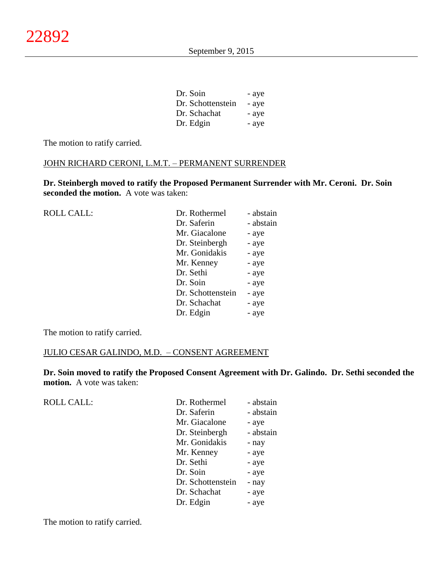| Dr. Soin          | - aye |
|-------------------|-------|
| Dr. Schottenstein | - aye |
| Dr. Schachat      | - aye |
| Dr. Edgin         | - aye |

The motion to ratify carried.

## JOHN RICHARD CERONI, L.M.T. – PERMANENT SURRENDER

**Dr. Steinbergh moved to ratify the Proposed Permanent Surrender with Mr. Ceroni. Dr. Soin seconded the motion.** A vote was taken:

| <b>ROLL CALL:</b> | Dr. Rothermel     | - abstain |
|-------------------|-------------------|-----------|
|                   | Dr. Saferin       | - abstain |
|                   | Mr. Giacalone     | - aye     |
|                   | Dr. Steinbergh    | - aye     |
|                   | Mr. Gonidakis     | - aye     |
|                   | Mr. Kenney        | - aye     |
|                   | Dr. Sethi         | - aye     |
|                   | Dr. Soin          | - aye     |
|                   | Dr. Schottenstein | - aye     |
|                   | Dr. Schachat      | - aye     |
|                   | Dr. Edgin         | - aye     |
|                   |                   |           |

The motion to ratify carried.

ROLL CALL:

## JULIO CESAR GALINDO, M.D. – CONSENT AGREEMENT

**Dr. Soin moved to ratify the Proposed Consent Agreement with Dr. Galindo. Dr. Sethi seconded the motion.** A vote was taken:

| Dr. Rothermel  | - abstain                  |
|----------------|----------------------------|
| Dr. Saferin    | - abstain                  |
| Mr. Giacalone  | - aye                      |
| Dr. Steinbergh | - abstain                  |
| Mr. Gonidakis  | - nay                      |
| Mr. Kenney     | - aye                      |
| Dr. Sethi      | - aye                      |
| Dr. Soin       | - aye                      |
|                | Dr. Schottenstein<br>- nay |
| Dr. Schachat   | - aye                      |
| Dr. Edgin      | - aye                      |

The motion to ratify carried.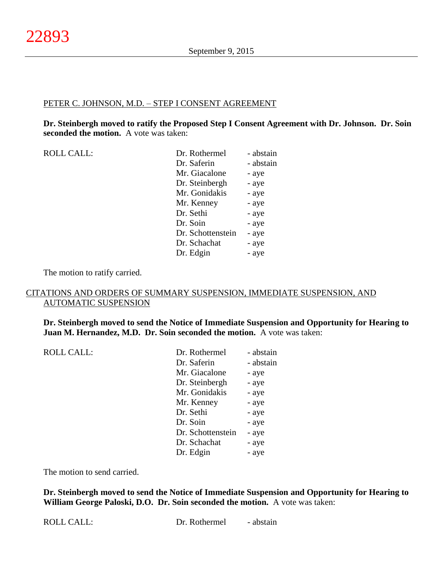### PETER C. JOHNSON, M.D. – STEP I CONSENT AGREEMENT

**Dr. Steinbergh moved to ratify the Proposed Step I Consent Agreement with Dr. Johnson. Dr. Soin seconded the motion.** A vote was taken:

| <b>ROLL CALL:</b> | Dr. Rothermel     | - abstain |
|-------------------|-------------------|-----------|
|                   | Dr. Saferin       | - abstain |
|                   | Mr. Giacalone     | - aye     |
|                   | Dr. Steinbergh    | - aye     |
|                   | Mr. Gonidakis     | - aye     |
|                   | Mr. Kenney        | - aye     |
|                   | Dr. Sethi         | - aye     |
|                   | Dr. Soin          | - aye     |
|                   | Dr. Schottenstein | - aye     |
|                   | Dr. Schachat      | - aye     |
|                   | Dr. Edgin         | - aye     |
|                   |                   |           |

The motion to ratify carried.

### CITATIONS AND ORDERS OF SUMMARY SUSPENSION, IMMEDIATE SUSPENSION, AND AUTOMATIC SUSPENSION

**Dr. Steinbergh moved to send the Notice of Immediate Suspension and Opportunity for Hearing to Juan M. Hernandez, M.D. Dr. Soin seconded the motion.** A vote was taken:

| <b>ROLL CALL:</b> | Dr. Rothermel     | - abstain |
|-------------------|-------------------|-----------|
|                   | Dr. Saferin       | - abstain |
|                   | Mr. Giacalone     | - aye     |
|                   | Dr. Steinbergh    | - aye     |
|                   | Mr. Gonidakis     | - aye     |
|                   | Mr. Kenney        | - aye     |
|                   | Dr. Sethi         | - aye     |
|                   | Dr. Soin          | - aye     |
|                   | Dr. Schottenstein | - aye     |
|                   | Dr. Schachat      | - aye     |
|                   | Dr. Edgin         | - aye     |
|                   |                   |           |

The motion to send carried.

**Dr. Steinbergh moved to send the Notice of Immediate Suspension and Opportunity for Hearing to William George Paloski, D.O. Dr. Soin seconded the motion.** A vote was taken: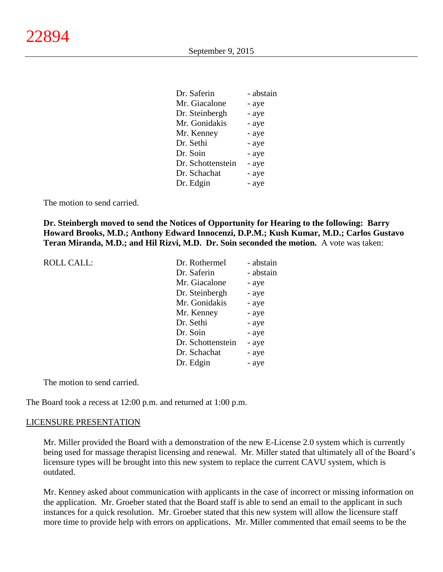| Dr. Saferin       | - abstain |
|-------------------|-----------|
| Mr. Giacalone     | - aye     |
| Dr. Steinbergh    | - aye     |
| Mr. Gonidakis     | - aye     |
| Mr. Kenney        | - aye     |
| Dr. Sethi         | - aye     |
| Dr. Soin          | - aye     |
| Dr. Schottenstein | - aye     |
| Dr. Schachat      | - aye     |
| Dr. Edgin         | - aye     |
|                   |           |

The motion to send carried.

**Dr. Steinbergh moved to send the Notices of Opportunity for Hearing to the following: Barry Howard Brooks, M.D.; Anthony Edward Innocenzi, D.P.M.; Kush Kumar, M.D.; Carlos Gustavo Teran Miranda, M.D.; and Hil Rizvi, M.D. Dr. Soin seconded the motion.** A vote was taken:

| <b>ROLL CALL:</b> | Dr. Rothermel     | - abstain |
|-------------------|-------------------|-----------|
|                   | Dr. Saferin       | - abstain |
|                   | Mr. Giacalone     | - aye     |
|                   | Dr. Steinbergh    | - aye     |
|                   | Mr. Gonidakis     | - aye     |
|                   | Mr. Kenney        | - aye     |
|                   | Dr. Sethi         | - aye     |
|                   | Dr. Soin          | - aye     |
|                   | Dr. Schottenstein | - aye     |
|                   | Dr. Schachat      | - aye     |
|                   | Dr. Edgin         | - aye     |
|                   |                   |           |

The motion to send carried.

The Board took a recess at 12:00 p.m. and returned at 1:00 p.m.

### LICENSURE PRESENTATION

Mr. Miller provided the Board with a demonstration of the new E-License 2.0 system which is currently being used for massage therapist licensing and renewal. Mr. Miller stated that ultimately all of the Board's licensure types will be brought into this new system to replace the current CAVU system, which is outdated.

Mr. Kenney asked about communication with applicants in the case of incorrect or missing information on the application. Mr. Groeber stated that the Board staff is able to send an email to the applicant in such instances for a quick resolution. Mr. Groeber stated that this new system will allow the licensure staff more time to provide help with errors on applications. Mr. Miller commented that email seems to be the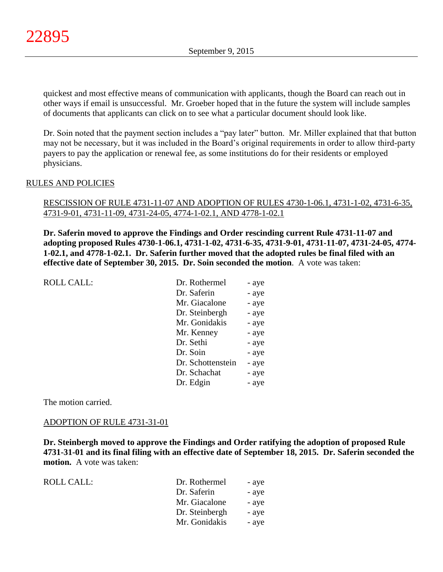quickest and most effective means of communication with applicants, though the Board can reach out in other ways if email is unsuccessful. Mr. Groeber hoped that in the future the system will include samples of documents that applicants can click on to see what a particular document should look like.

Dr. Soin noted that the payment section includes a "pay later" button. Mr. Miller explained that that button may not be necessary, but it was included in the Board's original requirements in order to allow third-party payers to pay the application or renewal fee, as some institutions do for their residents or employed physicians.

### RULES AND POLICIES

### RESCISSION OF RULE 4731-11-07 AND ADOPTION OF RULES 4730-1-06.1, 4731-1-02, 4731-6-35, 4731-9-01, 4731-11-09, 4731-24-05, 4774-1-02.1, AND 4778-1-02.1

**Dr. Saferin moved to approve the Findings and Order rescinding current Rule 4731-11-07 and adopting proposed Rules 4730-1-06.1, 4731-1-02, 4731-6-35, 4731-9-01, 4731-11-07, 4731-24-05, 4774- 1-02.1, and 4778-1-02.1. Dr. Saferin further moved that the adopted rules be final filed with an effective date of September 30, 2015. Dr. Soin seconded the motion**. A vote was taken:

| <b>ROLL CALL:</b> | Dr. Rothermel     | - aye |
|-------------------|-------------------|-------|
|                   | Dr. Saferin       | - aye |
|                   | Mr. Giacalone     | - aye |
|                   | Dr. Steinbergh    | - aye |
|                   | Mr. Gonidakis     | - aye |
|                   | Mr. Kenney        | - aye |
|                   | Dr. Sethi         | - aye |
|                   | Dr. Soin          | - aye |
|                   | Dr. Schottenstein | - aye |
|                   | Dr. Schachat      | - aye |
|                   | Dr. Edgin         | - aye |
|                   |                   |       |

The motion carried.

### ADOPTION OF RULE 4731-31-01

**Dr. Steinbergh moved to approve the Findings and Order ratifying the adoption of proposed Rule 4731-31-01 and its final filing with an effective date of September 18, 2015. Dr. Saferin seconded the motion.** A vote was taken:

| ROLL CALL: | Dr. Rothermel  | - aye |
|------------|----------------|-------|
|            | Dr. Saferin    | - aye |
|            | Mr. Giacalone  | - aye |
|            | Dr. Steinbergh | - aye |
|            | Mr. Gonidakis  | - aye |
|            |                |       |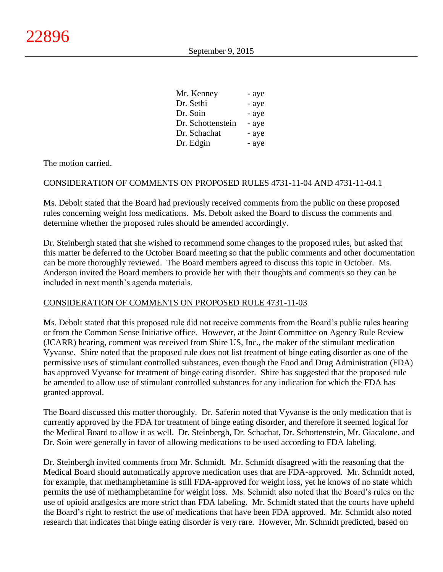| Mr. Kenney        | - aye |
|-------------------|-------|
| Dr. Sethi         | - aye |
| Dr. Soin          | - aye |
| Dr. Schottenstein | - aye |
| Dr. Schachat      | - aye |
| Dr. Edgin         | - aye |

The motion carried.

## CONSIDERATION OF COMMENTS ON PROPOSED RULES 4731-11-04 AND 4731-11-04.1

Ms. Debolt stated that the Board had previously received comments from the public on these proposed rules concerning weight loss medications. Ms. Debolt asked the Board to discuss the comments and determine whether the proposed rules should be amended accordingly.

Dr. Steinbergh stated that she wished to recommend some changes to the proposed rules, but asked that this matter be deferred to the October Board meeting so that the public comments and other documentation can be more thoroughly reviewed. The Board members agreed to discuss this topic in October. Ms. Anderson invited the Board members to provide her with their thoughts and comments so they can be included in next month's agenda materials.

### CONSIDERATION OF COMMENTS ON PROPOSED RULE 4731-11-03

Ms. Debolt stated that this proposed rule did not receive comments from the Board's public rules hearing or from the Common Sense Initiative office. However, at the Joint Committee on Agency Rule Review (JCARR) hearing, comment was received from Shire US, Inc., the maker of the stimulant medication Vyvanse. Shire noted that the proposed rule does not list treatment of binge eating disorder as one of the permissive uses of stimulant controlled substances, even though the Food and Drug Administration (FDA) has approved Vyvanse for treatment of binge eating disorder. Shire has suggested that the proposed rule be amended to allow use of stimulant controlled substances for any indication for which the FDA has granted approval.

The Board discussed this matter thoroughly. Dr. Saferin noted that Vyvanse is the only medication that is currently approved by the FDA for treatment of binge eating disorder, and therefore it seemed logical for the Medical Board to allow it as well. Dr. Steinbergh, Dr. Schachat, Dr. Schottenstein, Mr. Giacalone, and Dr. Soin were generally in favor of allowing medications to be used according to FDA labeling.

Dr. Steinbergh invited comments from Mr. Schmidt. Mr. Schmidt disagreed with the reasoning that the Medical Board should automatically approve medication uses that are FDA-approved. Mr. Schmidt noted, for example, that methamphetamine is still FDA-approved for weight loss, yet he knows of no state which permits the use of methamphetamine for weight loss. Ms. Schmidt also noted that the Board's rules on the use of opioid analgesics are more strict than FDA labeling. Mr. Schmidt stated that the courts have upheld the Board's right to restrict the use of medications that have been FDA approved. Mr. Schmidt also noted research that indicates that binge eating disorder is very rare. However, Mr. Schmidt predicted, based on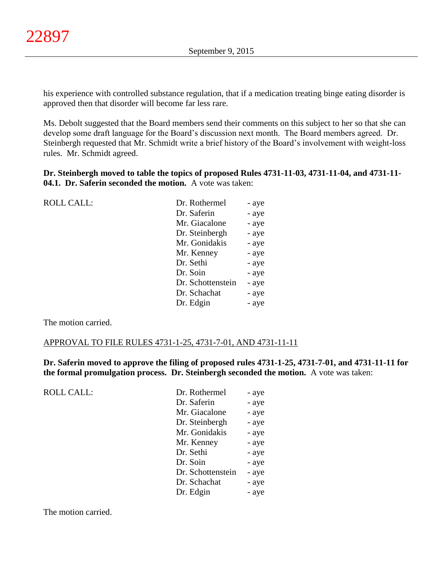his experience with controlled substance regulation, that if a medication treating binge eating disorder is approved then that disorder will become far less rare.

Ms. Debolt suggested that the Board members send their comments on this subject to her so that she can develop some draft language for the Board's discussion next month. The Board members agreed. Dr. Steinbergh requested that Mr. Schmidt write a brief history of the Board's involvement with weight-loss rules. Mr. Schmidt agreed.

**Dr. Steinbergh moved to table the topics of proposed Rules 4731-11-03, 4731-11-04, and 4731-11- 04.1. Dr. Saferin seconded the motion.** A vote was taken:

| <b>ROLL CALL:</b> | Dr. Rothermel     | - aye |
|-------------------|-------------------|-------|
|                   | Dr. Saferin       | - aye |
|                   | Mr. Giacalone     | - aye |
|                   | Dr. Steinbergh    | - aye |
|                   | Mr. Gonidakis     | - aye |
|                   | Mr. Kenney        | - aye |
|                   | Dr. Sethi         | - aye |
|                   | Dr. Soin          | - aye |
|                   | Dr. Schottenstein | - aye |
|                   | Dr. Schachat      | - aye |
|                   | Dr. Edgin         | - aye |
|                   |                   |       |

The motion carried.

### APPROVAL TO FILE RULES 4731-1-25, 4731-7-01, AND 4731-11-11

**Dr. Saferin moved to approve the filing of proposed rules 4731-1-25, 4731-7-01, and 4731-11-11 for the formal promulgation process. Dr. Steinbergh seconded the motion.** A vote was taken:

ROLL CALL:

| Dr. Rothermel     | - aye |
|-------------------|-------|
| Dr. Saferin       | - aye |
| Mr. Giacalone     | - aye |
| Dr. Steinbergh    | - aye |
| Mr. Gonidakis     | - aye |
| Mr. Kenney        | - aye |
| Dr. Sethi         | - aye |
| Dr. Soin          | - aye |
| Dr. Schottenstein | - aye |
| Dr. Schachat      | - aye |
| Dr. Edgin         | - aye |
|                   |       |

The motion carried.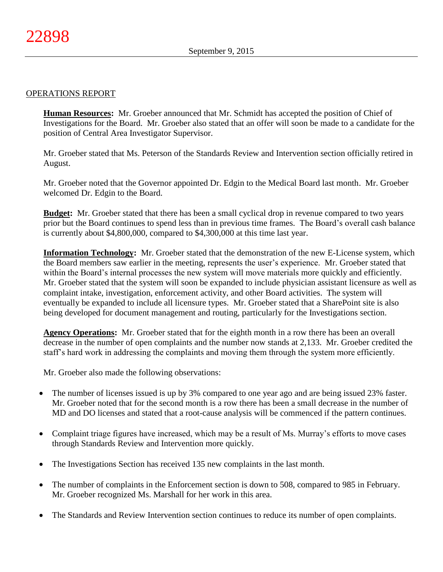### OPERATIONS REPORT

**Human Resources:** Mr. Groeber announced that Mr. Schmidt has accepted the position of Chief of Investigations for the Board. Mr. Groeber also stated that an offer will soon be made to a candidate for the position of Central Area Investigator Supervisor.

Mr. Groeber stated that Ms. Peterson of the Standards Review and Intervention section officially retired in August.

Mr. Groeber noted that the Governor appointed Dr. Edgin to the Medical Board last month. Mr. Groeber welcomed Dr. Edgin to the Board.

**Budget:** Mr. Groeber stated that there has been a small cyclical drop in revenue compared to two years prior but the Board continues to spend less than in previous time frames. The Board's overall cash balance is currently about \$4,800,000, compared to \$4,300,000 at this time last year.

**Information Technology:** Mr. Groeber stated that the demonstration of the new E-License system, which the Board members saw earlier in the meeting, represents the user's experience. Mr. Groeber stated that within the Board's internal processes the new system will move materials more quickly and efficiently. Mr. Groeber stated that the system will soon be expanded to include physician assistant licensure as well as complaint intake, investigation, enforcement activity, and other Board activities. The system will eventually be expanded to include all licensure types. Mr. Groeber stated that a SharePoint site is also being developed for document management and routing, particularly for the Investigations section.

**Agency Operations:** Mr. Groeber stated that for the eighth month in a row there has been an overall decrease in the number of open complaints and the number now stands at 2,133. Mr. Groeber credited the staff's hard work in addressing the complaints and moving them through the system more efficiently.

Mr. Groeber also made the following observations:

- The number of licenses issued is up by 3% compared to one year ago and are being issued 23% faster. Mr. Groeber noted that for the second month is a row there has been a small decrease in the number of MD and DO licenses and stated that a root-cause analysis will be commenced if the pattern continues.
- Complaint triage figures have increased, which may be a result of Ms. Murray's efforts to move cases through Standards Review and Intervention more quickly.
- The Investigations Section has received 135 new complaints in the last month.
- The number of complaints in the Enforcement section is down to 508, compared to 985 in February. Mr. Groeber recognized Ms. Marshall for her work in this area.
- The Standards and Review Intervention section continues to reduce its number of open complaints.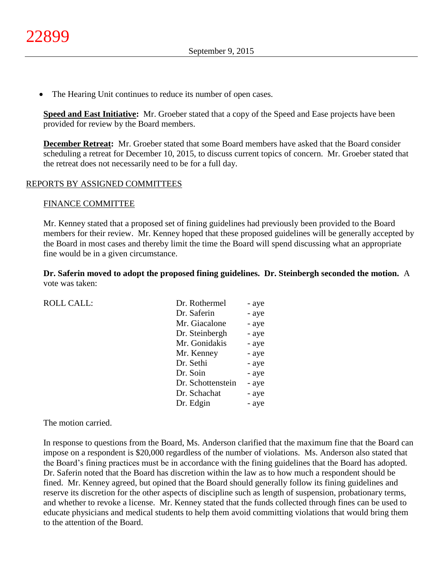The Hearing Unit continues to reduce its number of open cases.

**Speed and East Initiative:** Mr. Groeber stated that a copy of the Speed and Ease projects have been provided for review by the Board members.

**December Retreat:** Mr. Groeber stated that some Board members have asked that the Board consider scheduling a retreat for December 10, 2015, to discuss current topics of concern. Mr. Groeber stated that the retreat does not necessarily need to be for a full day.

### REPORTS BY ASSIGNED COMMITTEES

### FINANCE COMMITTEE

Mr. Kenney stated that a proposed set of fining guidelines had previously been provided to the Board members for their review. Mr. Kenney hoped that these proposed guidelines will be generally accepted by the Board in most cases and thereby limit the time the Board will spend discussing what an appropriate fine would be in a given circumstance.

**Dr. Saferin moved to adopt the proposed fining guidelines. Dr. Steinbergh seconded the motion.** A vote was taken:

| <b>ROLL CALL:</b> | Dr. Rothermel     | - aye |
|-------------------|-------------------|-------|
|                   | Dr. Saferin       | - aye |
|                   | Mr. Giacalone     | - aye |
|                   | Dr. Steinbergh    | - aye |
|                   | Mr. Gonidakis     | - aye |
|                   | Mr. Kenney        | - aye |
|                   | Dr. Sethi         | - aye |
|                   | Dr. Soin          | - aye |
|                   | Dr. Schottenstein | - aye |
|                   | Dr. Schachat      | - aye |
|                   | Dr. Edgin         | - aye |
|                   |                   |       |

The motion carried.

In response to questions from the Board, Ms. Anderson clarified that the maximum fine that the Board can impose on a respondent is \$20,000 regardless of the number of violations. Ms. Anderson also stated that the Board's fining practices must be in accordance with the fining guidelines that the Board has adopted. Dr. Saferin noted that the Board has discretion within the law as to how much a respondent should be fined. Mr. Kenney agreed, but opined that the Board should generally follow its fining guidelines and reserve its discretion for the other aspects of discipline such as length of suspension, probationary terms, and whether to revoke a license. Mr. Kenney stated that the funds collected through fines can be used to educate physicians and medical students to help them avoid committing violations that would bring them to the attention of the Board.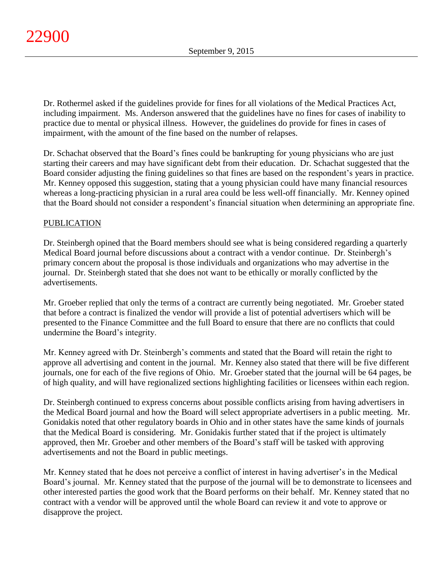Dr. Rothermel asked if the guidelines provide for fines for all violations of the Medical Practices Act, including impairment. Ms. Anderson answered that the guidelines have no fines for cases of inability to practice due to mental or physical illness. However, the guidelines do provide for fines in cases of impairment, with the amount of the fine based on the number of relapses.

Dr. Schachat observed that the Board's fines could be bankrupting for young physicians who are just starting their careers and may have significant debt from their education. Dr. Schachat suggested that the Board consider adjusting the fining guidelines so that fines are based on the respondent's years in practice. Mr. Kenney opposed this suggestion, stating that a young physician could have many financial resources whereas a long-practicing physician in a rural area could be less well-off financially. Mr. Kenney opined that the Board should not consider a respondent's financial situation when determining an appropriate fine.

## PUBLICATION

Dr. Steinbergh opined that the Board members should see what is being considered regarding a quarterly Medical Board journal before discussions about a contract with a vendor continue. Dr. Steinbergh's primary concern about the proposal is those individuals and organizations who may advertise in the journal. Dr. Steinbergh stated that she does not want to be ethically or morally conflicted by the advertisements.

Mr. Groeber replied that only the terms of a contract are currently being negotiated. Mr. Groeber stated that before a contract is finalized the vendor will provide a list of potential advertisers which will be presented to the Finance Committee and the full Board to ensure that there are no conflicts that could undermine the Board's integrity.

Mr. Kenney agreed with Dr. Steinbergh's comments and stated that the Board will retain the right to approve all advertising and content in the journal. Mr. Kenney also stated that there will be five different journals, one for each of the five regions of Ohio. Mr. Groeber stated that the journal will be 64 pages, be of high quality, and will have regionalized sections highlighting facilities or licensees within each region.

Dr. Steinbergh continued to express concerns about possible conflicts arising from having advertisers in the Medical Board journal and how the Board will select appropriate advertisers in a public meeting. Mr. Gonidakis noted that other regulatory boards in Ohio and in other states have the same kinds of journals that the Medical Board is considering. Mr. Gonidakis further stated that if the project is ultimately approved, then Mr. Groeber and other members of the Board's staff will be tasked with approving advertisements and not the Board in public meetings.

Mr. Kenney stated that he does not perceive a conflict of interest in having advertiser's in the Medical Board's journal. Mr. Kenney stated that the purpose of the journal will be to demonstrate to licensees and other interested parties the good work that the Board performs on their behalf. Mr. Kenney stated that no contract with a vendor will be approved until the whole Board can review it and vote to approve or disapprove the project.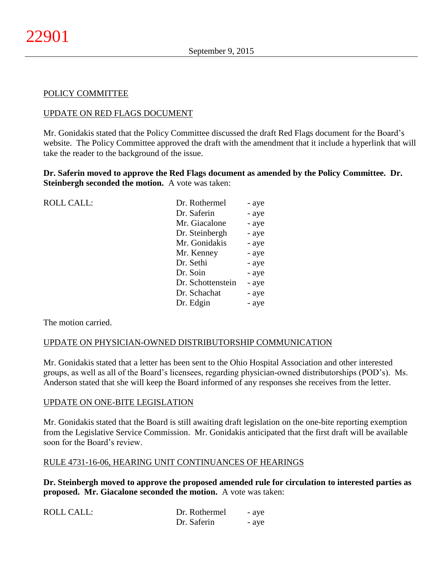### POLICY COMMITTEE

### UPDATE ON RED FLAGS DOCUMENT

Mr. Gonidakis stated that the Policy Committee discussed the draft Red Flags document for the Board's website. The Policy Committee approved the draft with the amendment that it include a hyperlink that will take the reader to the background of the issue.

**Dr. Saferin moved to approve the Red Flags document as amended by the Policy Committee. Dr. Steinbergh seconded the motion.** A vote was taken:

| <b>ROLL CALL:</b> | Dr. Rothermel     | - aye |
|-------------------|-------------------|-------|
|                   | Dr. Saferin       | - aye |
|                   | Mr. Giacalone     | - aye |
|                   | Dr. Steinbergh    | - aye |
|                   | Mr. Gonidakis     | - aye |
|                   | Mr. Kenney        | - aye |
|                   | Dr. Sethi         | - aye |
|                   | Dr. Soin          | - aye |
|                   | Dr. Schottenstein | - aye |
|                   | Dr. Schachat      | - aye |
|                   | Dr. Edgin         | - aye |
|                   |                   |       |

The motion carried.

### UPDATE ON PHYSICIAN-OWNED DISTRIBUTORSHIP COMMUNICATION

Mr. Gonidakis stated that a letter has been sent to the Ohio Hospital Association and other interested groups, as well as all of the Board's licensees, regarding physician-owned distributorships (POD's). Ms. Anderson stated that she will keep the Board informed of any responses she receives from the letter.

#### UPDATE ON ONE-BITE LEGISLATION

Mr. Gonidakis stated that the Board is still awaiting draft legislation on the one-bite reporting exemption from the Legislative Service Commission. Mr. Gonidakis anticipated that the first draft will be available soon for the Board's review.

#### RULE 4731-16-06, HEARING UNIT CONTINUANCES OF HEARINGS

**Dr. Steinbergh moved to approve the proposed amended rule for circulation to interested parties as proposed. Mr. Giacalone seconded the motion.** A vote was taken:

| <b>ROLL CALL:</b> | Dr. Rothermel | - aye |
|-------------------|---------------|-------|
|                   | Dr. Saferin   | - ave |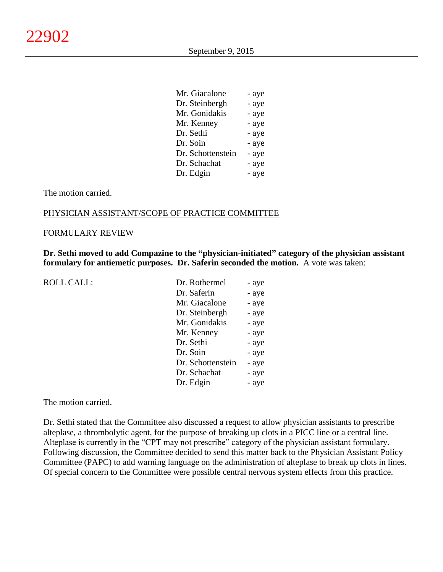$\mathbf{M}$   $\mathbf{G}^{\dagger}$   $\mathbf{I}$ 

| Mr. Giacalone     | - aye |
|-------------------|-------|
| Dr. Steinbergh    | - aye |
| Mr. Gonidakis     | - aye |
| Mr. Kenney        | - aye |
| Dr. Sethi         | - aye |
| Dr. Soin          | - aye |
| Dr. Schottenstein | - aye |
| Dr. Schachat      | - aye |
| Dr. Edgin         | - aye |
|                   |       |

The motion carried.

### PHYSICIAN ASSISTANT/SCOPE OF PRACTICE COMMITTEE

#### FORMULARY REVIEW

**Dr. Sethi moved to add Compazine to the "physician-initiated" category of the physician assistant formulary for antiemetic purposes. Dr. Saferin seconded the motion.** A vote was taken:

| <b>ROLL CALL:</b> |
|-------------------|
|-------------------|

| Dr. Rothermel     | - aye |
|-------------------|-------|
| Dr. Saferin       | - aye |
| Mr. Giacalone     | - aye |
| Dr. Steinbergh    | - aye |
| Mr. Gonidakis     | - aye |
| Mr. Kenney        | - aye |
| Dr. Sethi         | - aye |
| Dr. Soin          | - aye |
| Dr. Schottenstein | - aye |
| Dr. Schachat      | - aye |
| Dr. Edgin         | - aye |
|                   |       |

The motion carried.

Dr. Sethi stated that the Committee also discussed a request to allow physician assistants to prescribe alteplase, a thrombolytic agent, for the purpose of breaking up clots in a PICC line or a central line. Alteplase is currently in the "CPT may not prescribe" category of the physician assistant formulary. Following discussion, the Committee decided to send this matter back to the Physician Assistant Policy Committee (PAPC) to add warning language on the administration of alteplase to break up clots in lines. Of special concern to the Committee were possible central nervous system effects from this practice.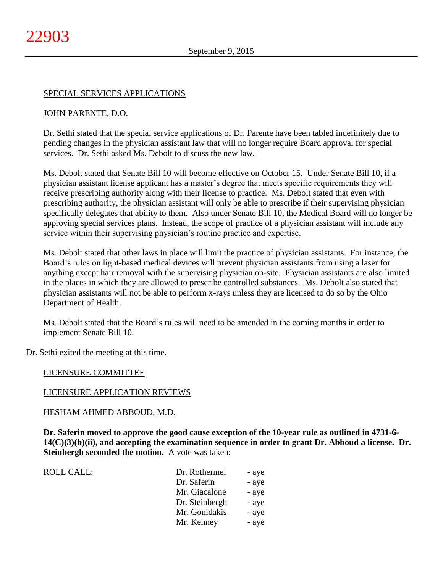### SPECIAL SERVICES APPLICATIONS

### JOHN PARENTE, D.O.

Dr. Sethi stated that the special service applications of Dr. Parente have been tabled indefinitely due to pending changes in the physician assistant law that will no longer require Board approval for special services. Dr. Sethi asked Ms. Debolt to discuss the new law.

Ms. Debolt stated that Senate Bill 10 will become effective on October 15. Under Senate Bill 10, if a physician assistant license applicant has a master's degree that meets specific requirements they will receive prescribing authority along with their license to practice. Ms. Debolt stated that even with prescribing authority, the physician assistant will only be able to prescribe if their supervising physician specifically delegates that ability to them. Also under Senate Bill 10, the Medical Board will no longer be approving special services plans. Instead, the scope of practice of a physician assistant will include any service within their supervising physician's routine practice and expertise.

Ms. Debolt stated that other laws in place will limit the practice of physician assistants. For instance, the Board's rules on light-based medical devices will prevent physician assistants from using a laser for anything except hair removal with the supervising physician on-site. Physician assistants are also limited in the places in which they are allowed to prescribe controlled substances. Ms. Debolt also stated that physician assistants will not be able to perform x-rays unless they are licensed to do so by the Ohio Department of Health.

Ms. Debolt stated that the Board's rules will need to be amended in the coming months in order to implement Senate Bill 10.

Dr. Sethi exited the meeting at this time.

#### LICENSURE COMMITTEE

#### LICENSURE APPLICATION REVIEWS

#### HESHAM AHMED ABBOUD, M.D.

**Dr. Saferin moved to approve the good cause exception of the 10-year rule as outlined in 4731-6- 14(C)(3)(b)(ii), and accepting the examination sequence in order to grant Dr. Abboud a license. Dr. Steinbergh seconded the motion.** A vote was taken:

| ROLL CALL: | Dr. Rothermel  | - aye |
|------------|----------------|-------|
|            | Dr. Saferin    | - aye |
|            | Mr. Giacalone  | - aye |
|            | Dr. Steinbergh | - aye |
|            | Mr. Gonidakis  | - aye |
|            | Mr. Kenney     | - aye |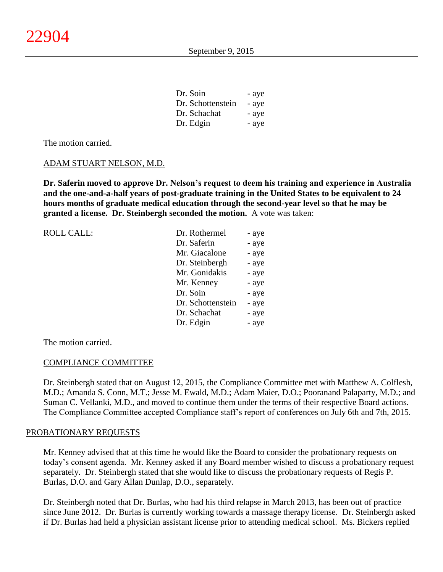| Dr. Soin          | - aye |
|-------------------|-------|
| Dr. Schottenstein | - aye |
| Dr. Schachat      | - aye |
| Dr. Edgin         | - aye |

The motion carried.

#### ADAM STUART NELSON, M.D.

**Dr. Saferin moved to approve Dr. Nelson's request to deem his training and experience in Australia and the one-and-a-half years of post-graduate training in the United States to be equivalent to 24 hours months of graduate medical education through the second-year level so that he may be granted a license. Dr. Steinbergh seconded the motion.** A vote was taken:

| <b>ROLL CALL:</b> | Dr. Rothermel     | - aye |
|-------------------|-------------------|-------|
|                   | Dr. Saferin       | - aye |
|                   | Mr. Giacalone     | - aye |
|                   | Dr. Steinbergh    | - aye |
|                   | Mr. Gonidakis     | - aye |
|                   | Mr. Kenney        | - aye |
|                   | Dr. Soin          | - aye |
|                   | Dr. Schottenstein | - aye |
|                   | Dr. Schachat      | - aye |
|                   | Dr. Edgin         | - aye |

The motion carried.

#### COMPLIANCE COMMITTEE

Dr. Steinbergh stated that on August 12, 2015, the Compliance Committee met with Matthew A. Colflesh, M.D.; Amanda S. Conn, M.T.; Jesse M. Ewald, M.D.; Adam Maier, D.O.; Pooranand Palaparty, M.D.; and Suman C. Vellanki, M.D., and moved to continue them under the terms of their respective Board actions. The Compliance Committee accepted Compliance staff's report of conferences on July 6th and 7th, 2015.

#### PROBATIONARY REQUESTS

Mr. Kenney advised that at this time he would like the Board to consider the probationary requests on today's consent agenda. Mr. Kenney asked if any Board member wished to discuss a probationary request separately. Dr. Steinbergh stated that she would like to discuss the probationary requests of Regis P. Burlas, D.O. and Gary Allan Dunlap, D.O., separately.

Dr. Steinbergh noted that Dr. Burlas, who had his third relapse in March 2013, has been out of practice since June 2012. Dr. Burlas is currently working towards a massage therapy license. Dr. Steinbergh asked if Dr. Burlas had held a physician assistant license prior to attending medical school. Ms. Bickers replied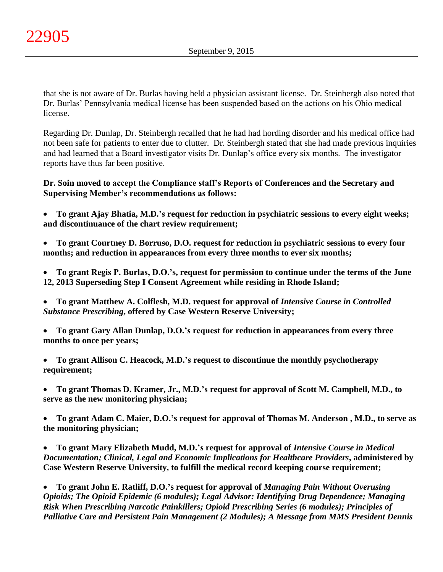that she is not aware of Dr. Burlas having held a physician assistant license. Dr. Steinbergh also noted that Dr. Burlas' Pennsylvania medical license has been suspended based on the actions on his Ohio medical license.

Regarding Dr. Dunlap, Dr. Steinbergh recalled that he had had hording disorder and his medical office had not been safe for patients to enter due to clutter. Dr. Steinbergh stated that she had made previous inquiries and had learned that a Board investigator visits Dr. Dunlap's office every six months. The investigator reports have thus far been positive.

**Dr. Soin moved to accept the Compliance staff's Reports of Conferences and the Secretary and Supervising Member's recommendations as follows:**

 **To grant Ajay Bhatia, M.D.'s request for reduction in psychiatric sessions to every eight weeks; and discontinuance of the chart review requirement;**

 **To grant Courtney D. Borruso, D.O. request for reduction in psychiatric sessions to every four months; and reduction in appearances from every three months to ever six months;**

 **To grant Regis P. Burlas, D.O.'s, request for permission to continue under the terms of the June 12, 2013 Superseding Step I Consent Agreement while residing in Rhode Island;**

 **To grant Matthew A. Colflesh, M.D. request for approval of** *Intensive Course in Controlled Substance Prescribing***, offered by Case Western Reserve University;**

 **To grant Gary Allan Dunlap, D.O.'s request for reduction in appearances from every three months to once per years;**

 **To grant Allison C. Heacock, M.D.'s request to discontinue the monthly psychotherapy requirement;**

 **To grant Thomas D. Kramer, Jr., M.D.'s request for approval of Scott M. Campbell, M.D., to serve as the new monitoring physician;**

 **To grant Adam C. Maier, D.O.'s request for approval of Thomas M. Anderson , M.D., to serve as the monitoring physician;**

 **To grant Mary Elizabeth Mudd, M.D.'s request for approval of** *Intensive Course in Medical Documentation; Clinical, Legal and Economic Implications for Healthcare Providers***, administered by Case Western Reserve University, to fulfill the medical record keeping course requirement;**

 **To grant John E. Ratliff, D.O.'s request for approval of** *Managing Pain Without Overusing Opioids; The Opioid Epidemic (6 modules); Legal Advisor: Identifying Drug Dependence; Managing Risk When Prescribing Narcotic Painkillers; Opioid Prescribing Series (6 modules); Principles of Palliative Care and Persistent Pain Management (2 Modules); A Message from MMS President Dennis*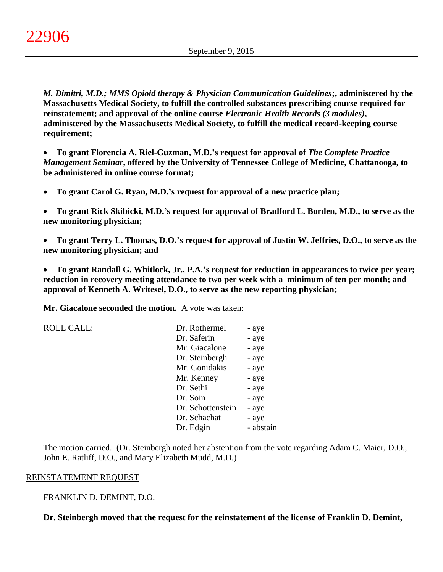*M. Dimitri, M.D.; MMS Opioid therapy & Physician Communication Guidelines***;, administered by the Massachusetts Medical Society, to fulfill the controlled substances prescribing course required for reinstatement; and approval of the online course** *Electronic Health Records (3 modules)***, administered by the Massachusetts Medical Society, to fulfill the medical record-keeping course requirement;**

 **To grant Florencia A. Riel-Guzman, M.D.'s request for approval of** *The Complete Practice Management Seminar***, offered by the University of Tennessee College of Medicine, Chattanooga, to be administered in online course format;**

**To grant Carol G. Ryan, M.D.'s request for approval of a new practice plan;**

 **To grant Rick Skibicki, M.D.'s request for approval of Bradford L. Borden, M.D., to serve as the new monitoring physician;**

 **To grant Terry L. Thomas, D.O.'s request for approval of Justin W. Jeffries, D.O., to serve as the new monitoring physician; and**

 **To grant Randall G. Whitlock, Jr., P.A.'s request for reduction in appearances to twice per year; reduction in recovery meeting attendance to two per week with a minimum of ten per month; and approval of Kenneth A. Writesel, D.O., to serve as the new reporting physician;**

**Mr. Giacalone seconded the motion.** A vote was taken:

| <b>ROLL CALL:</b> | Dr. Rothermel     | - aye     |
|-------------------|-------------------|-----------|
|                   | Dr. Saferin       | - aye     |
|                   | Mr. Giacalone     | - aye     |
|                   | Dr. Steinbergh    | - aye     |
|                   | Mr. Gonidakis     | - aye     |
|                   | Mr. Kenney        | - aye     |
|                   | Dr. Sethi         | - aye     |
|                   | Dr. Soin          | - aye     |
|                   | Dr. Schottenstein | - aye     |
|                   | Dr. Schachat      | - aye     |
|                   | Dr. Edgin         | - abstain |
|                   |                   |           |

The motion carried. (Dr. Steinbergh noted her abstention from the vote regarding Adam C. Maier, D.O., John E. Ratliff, D.O., and Mary Elizabeth Mudd, M.D.)

### REINSTATEMENT REQUEST

### FRANKLIN D. DEMINT, D.O.

**Dr. Steinbergh moved that the request for the reinstatement of the license of Franklin D. Demint,**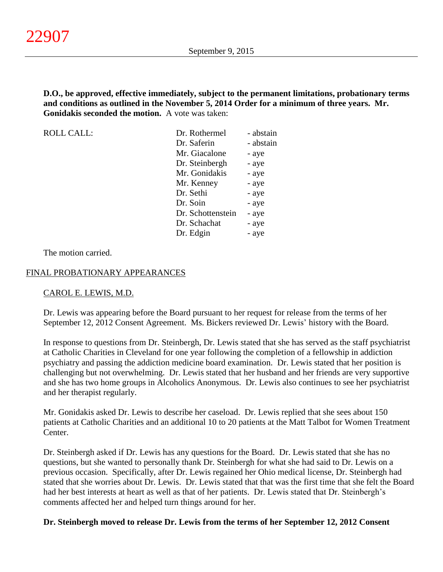### **D.O., be approved, effective immediately, subject to the permanent limitations, probationary terms and conditions as outlined in the November 5, 2014 Order for a minimum of three years. Mr. Gonidakis seconded the motion.** A vote was taken:

| <b>ROLL CALL:</b> | Dr. Rothermel     | - abstain |
|-------------------|-------------------|-----------|
|                   | Dr. Saferin       | - abstain |
|                   | Mr. Giacalone     | - aye     |
|                   | Dr. Steinbergh    | - aye     |
|                   | Mr. Gonidakis     | - aye     |
|                   | Mr. Kenney        | - aye     |
|                   | Dr. Sethi         | - aye     |
|                   | Dr. Soin          | - aye     |
|                   | Dr. Schottenstein | - aye     |
|                   | Dr. Schachat      | - aye     |
|                   | Dr. Edgin         | - ave     |

The motion carried.

### FINAL PROBATIONARY APPEARANCES

#### CAROL E. LEWIS, M.D.

Dr. Lewis was appearing before the Board pursuant to her request for release from the terms of her September 12, 2012 Consent Agreement. Ms. Bickers reviewed Dr. Lewis' history with the Board.

In response to questions from Dr. Steinbergh, Dr. Lewis stated that she has served as the staff psychiatrist at Catholic Charities in Cleveland for one year following the completion of a fellowship in addiction psychiatry and passing the addiction medicine board examination. Dr. Lewis stated that her position is challenging but not overwhelming. Dr. Lewis stated that her husband and her friends are very supportive and she has two home groups in Alcoholics Anonymous. Dr. Lewis also continues to see her psychiatrist and her therapist regularly.

Mr. Gonidakis asked Dr. Lewis to describe her caseload. Dr. Lewis replied that she sees about 150 patients at Catholic Charities and an additional 10 to 20 patients at the Matt Talbot for Women Treatment Center.

Dr. Steinbergh asked if Dr. Lewis has any questions for the Board. Dr. Lewis stated that she has no questions, but she wanted to personally thank Dr. Steinbergh for what she had said to Dr. Lewis on a previous occasion. Specifically, after Dr. Lewis regained her Ohio medical license, Dr. Steinbergh had stated that she worries about Dr. Lewis. Dr. Lewis stated that that was the first time that she felt the Board had her best interests at heart as well as that of her patients. Dr. Lewis stated that Dr. Steinbergh's comments affected her and helped turn things around for her.

#### **Dr. Steinbergh moved to release Dr. Lewis from the terms of her September 12, 2012 Consent**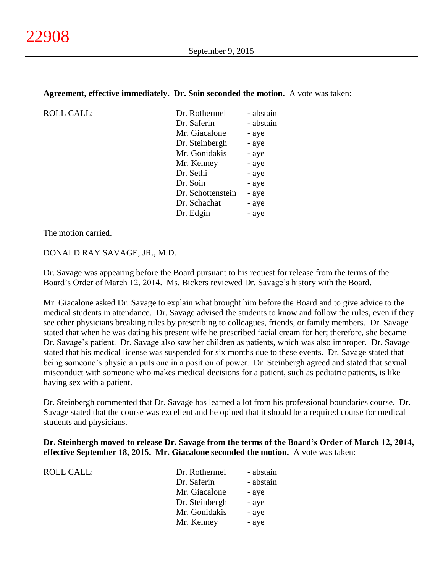### **Agreement, effective immediately. Dr. Soin seconded the motion.** A vote was taken:

| Dr. Rothermel     | - abstain |
|-------------------|-----------|
| Dr. Saferin       | - abstain |
| Mr. Giacalone     | - aye     |
| Dr. Steinbergh    | - aye     |
| Mr. Gonidakis     | - aye     |
| Mr. Kenney        | - aye     |
| Dr. Sethi         | - aye     |
| Dr. Soin          | - aye     |
| Dr. Schottenstein | - aye     |
| Dr. Schachat      | - aye     |
| Dr. Edgin         | - aye     |

The motion carried.

 $ROLL CALL$ :

#### DONALD RAY SAVAGE, JR., M.D.

Dr. Savage was appearing before the Board pursuant to his request for release from the terms of the Board's Order of March 12, 2014. Ms. Bickers reviewed Dr. Savage's history with the Board.

Mr. Giacalone asked Dr. Savage to explain what brought him before the Board and to give advice to the medical students in attendance. Dr. Savage advised the students to know and follow the rules, even if they see other physicians breaking rules by prescribing to colleagues, friends, or family members. Dr. Savage stated that when he was dating his present wife he prescribed facial cream for her; therefore, she became Dr. Savage's patient. Dr. Savage also saw her children as patients, which was also improper. Dr. Savage stated that his medical license was suspended for six months due to these events. Dr. Savage stated that being someone's physician puts one in a position of power. Dr. Steinbergh agreed and stated that sexual misconduct with someone who makes medical decisions for a patient, such as pediatric patients, is like having sex with a patient.

Dr. Steinbergh commented that Dr. Savage has learned a lot from his professional boundaries course. Dr. Savage stated that the course was excellent and he opined that it should be a required course for medical students and physicians.

### **Dr. Steinbergh moved to release Dr. Savage from the terms of the Board's Order of March 12, 2014, effective September 18, 2015. Mr. Giacalone seconded the motion.** A vote was taken:

| ROLL CALL: | Dr. Rothermel  | - abstain |
|------------|----------------|-----------|
|            | Dr. Saferin    | - abstain |
|            | Mr. Giacalone  | - aye     |
|            | Dr. Steinbergh | - aye     |
|            | Mr. Gonidakis  | - aye     |
|            | Mr. Kenney     | - aye     |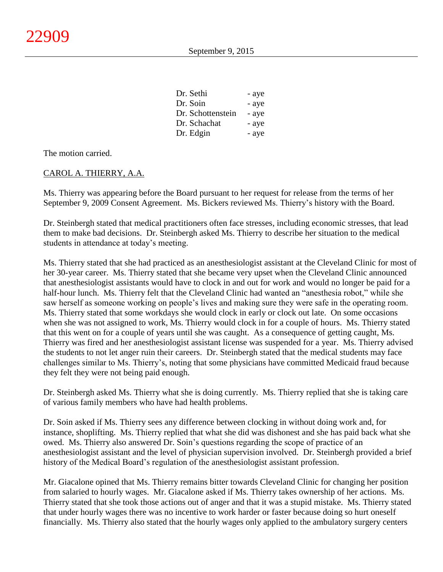| Dr. Sethi         | - aye |
|-------------------|-------|
| Dr. Soin          | - aye |
| Dr. Schottenstein | - aye |
| Dr. Schachat      | - aye |
| Dr. Edgin         | - aye |

The motion carried.

### CAROL A. THIERRY, A.A.

Ms. Thierry was appearing before the Board pursuant to her request for release from the terms of her September 9, 2009 Consent Agreement. Ms. Bickers reviewed Ms. Thierry's history with the Board.

Dr. Steinbergh stated that medical practitioners often face stresses, including economic stresses, that lead them to make bad decisions. Dr. Steinbergh asked Ms. Thierry to describe her situation to the medical students in attendance at today's meeting.

Ms. Thierry stated that she had practiced as an anesthesiologist assistant at the Cleveland Clinic for most of her 30-year career. Ms. Thierry stated that she became very upset when the Cleveland Clinic announced that anesthesiologist assistants would have to clock in and out for work and would no longer be paid for a half-hour lunch. Ms. Thierry felt that the Cleveland Clinic had wanted an "anesthesia robot," while she saw herself as someone working on people's lives and making sure they were safe in the operating room. Ms. Thierry stated that some workdays she would clock in early or clock out late. On some occasions when she was not assigned to work, Ms. Thierry would clock in for a couple of hours. Ms. Thierry stated that this went on for a couple of years until she was caught. As a consequence of getting caught, Ms. Thierry was fired and her anesthesiologist assistant license was suspended for a year. Ms. Thierry advised the students to not let anger ruin their careers. Dr. Steinbergh stated that the medical students may face challenges similar to Ms. Thierry's, noting that some physicians have committed Medicaid fraud because they felt they were not being paid enough.

Dr. Steinbergh asked Ms. Thierry what she is doing currently. Ms. Thierry replied that she is taking care of various family members who have had health problems.

Dr. Soin asked if Ms. Thierry sees any difference between clocking in without doing work and, for instance, shoplifting. Ms. Thierry replied that what she did was dishonest and she has paid back what she owed. Ms. Thierry also answered Dr. Soin's questions regarding the scope of practice of an anesthesiologist assistant and the level of physician supervision involved. Dr. Steinbergh provided a brief history of the Medical Board's regulation of the anesthesiologist assistant profession.

Mr. Giacalone opined that Ms. Thierry remains bitter towards Cleveland Clinic for changing her position from salaried to hourly wages. Mr. Giacalone asked if Ms. Thierry takes ownership of her actions. Ms. Thierry stated that she took those actions out of anger and that it was a stupid mistake. Ms. Thierry stated that under hourly wages there was no incentive to work harder or faster because doing so hurt oneself financially. Ms. Thierry also stated that the hourly wages only applied to the ambulatory surgery centers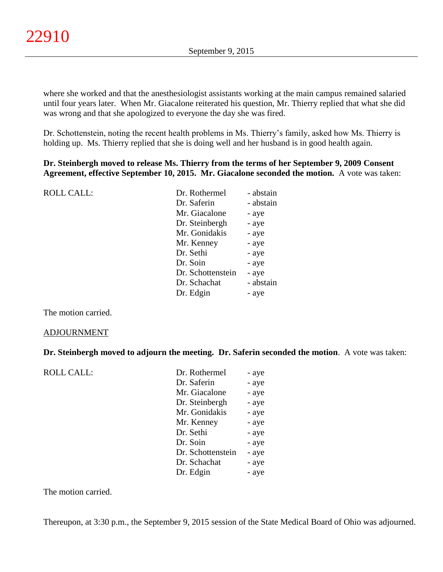where she worked and that the anesthesiologist assistants working at the main campus remained salaried until four years later. When Mr. Giacalone reiterated his question, Mr. Thierry replied that what she did was wrong and that she apologized to everyone the day she was fired.

Dr. Schottenstein, noting the recent health problems in Ms. Thierry's family, asked how Ms. Thierry is holding up. Ms. Thierry replied that she is doing well and her husband is in good health again.

### **Dr. Steinbergh moved to release Ms. Thierry from the terms of her September 9, 2009 Consent Agreement, effective September 10, 2015. Mr. Giacalone seconded the motion.** A vote was taken:

| <b>ROLL CALL:</b> | Dr. Rothermel     | - abstain |
|-------------------|-------------------|-----------|
|                   | Dr. Saferin       | - abstain |
|                   | Mr. Giacalone     | - aye     |
|                   | Dr. Steinbergh    | - aye     |
|                   | Mr. Gonidakis     | - aye     |
|                   | Mr. Kenney        | - aye     |
|                   | Dr. Sethi         | - aye     |
|                   | Dr. Soin          | - aye     |
|                   | Dr. Schottenstein | - aye     |
|                   | Dr. Schachat      | - abstain |
|                   | Dr. Edgin         | - aye     |
|                   |                   |           |

The motion carried.

#### ADJOURNMENT

#### **Dr. Steinbergh moved to adjourn the meeting. Dr. Saferin seconded the motion**. A vote was taken:

| <b>ROLL CALL:</b> | Dr. Rothermel     | - aye |
|-------------------|-------------------|-------|
|                   | Dr. Saferin       | - aye |
|                   | Mr. Giacalone     | - aye |
|                   | Dr. Steinbergh    | - aye |
|                   | Mr. Gonidakis     | - aye |
|                   | Mr. Kenney        | - aye |
|                   | Dr. Sethi         | - aye |
|                   | Dr. Soin          | - aye |
|                   | Dr. Schottenstein | - aye |
|                   | Dr. Schachat      | - aye |
|                   | Dr. Edgin         | - aye |

The motion carried.

Thereupon, at 3:30 p.m., the September 9, 2015 session of the State Medical Board of Ohio was adjourned.